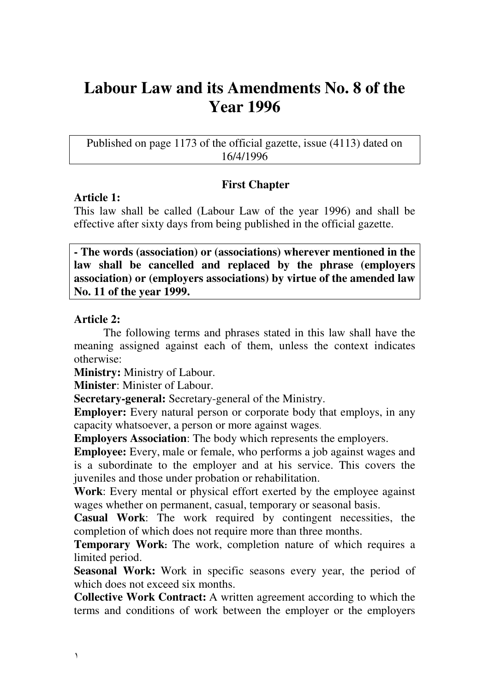# **Labour Law and its Amendments No. 8 of the Year 1996**

Published on page 1173 of the official gazette, issue (4113) dated on 16/4/1996

### **First Chapter**

### **Article 1:**

Ϊ

This law shall be called (Labour Law of the year 1996) and shall be effective after sixty days from being published in the official gazette.

**- The words (association) or (associations) wherever mentioned in the law shall be cancelled and replaced by the phrase (employers association) or (employers associations) by virtue of the amended law No. 11 of the year 1999.** 

### **Article 2:**

The following terms and phrases stated in this law shall have the meaning assigned against each of them, unless the context indicates otherwise:

**Ministry:** Ministry of Labour.

**Minister**: Minister of Labour.

**Secretary-general:** Secretary-general of the Ministry.

**Employer:** Every natural person or corporate body that employs, in any capacity whatsoever, a person or more against wages.

**Employers Association**: The body which represents the employers.

**Employee:** Every, male or female, who performs a job against wages and is a subordinate to the employer and at his service. This covers the juveniles and those under probation or rehabilitation.

**Work**: Every mental or physical effort exerted by the employee against wages whether on permanent, casual, temporary or seasonal basis.

**Casual Work**: The work required by contingent necessities, the completion of which does not require more than three months.

**Temporary Work:** The work, completion nature of which requires a limited period.

**Seasonal Work:** Work in specific seasons every year, the period of which does not exceed six months.

**Collective Work Contract:** A written agreement according to which the terms and conditions of work between the employer or the employers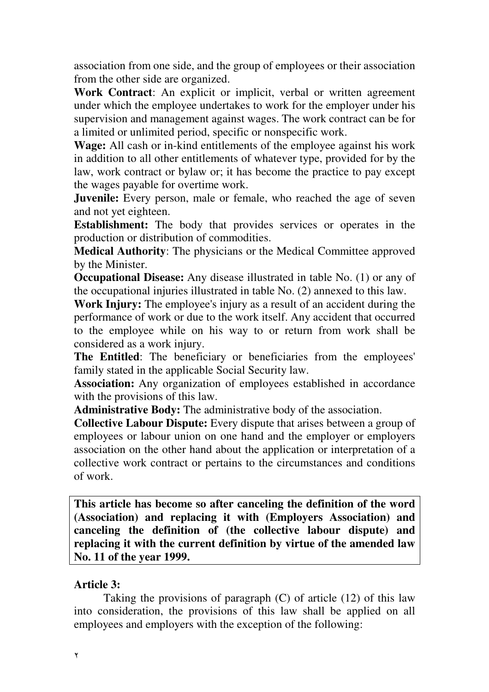association from one side, and the group of employees or their association from the other side are organized.

**Work Contract**: An explicit or implicit, verbal or written agreement under which the employee undertakes to work for the employer under his supervision and management against wages. The work contract can be for a limited or unlimited period, specific or nonspecific work.

**Wage:** All cash or in-kind entitlements of the employee against his work in addition to all other entitlements of whatever type, provided for by the law, work contract or bylaw or; it has become the practice to pay except the wages payable for overtime work.

**Juvenile:** Every person, male or female, who reached the age of seven and not yet eighteen.

**Establishment:** The body that provides services or operates in the production or distribution of commodities.

**Medical Authority**: The physicians or the Medical Committee approved by the Minister.

**Occupational Disease:** Any disease illustrated in table No. (1) or any of the occupational injuries illustrated in table No. (2) annexed to this law.

**Work Injury:** The employee's injury as a result of an accident during the performance of work or due to the work itself. Any accident that occurred to the employee while on his way to or return from work shall be considered as a work injury.

**The Entitled**: The beneficiary or beneficiaries from the employees' family stated in the applicable Social Security law.

**Association:** Any organization of employees established in accordance with the provisions of this law.

**Administrative Body:** The administrative body of the association.

**Collective Labour Dispute:** Every dispute that arises between a group of employees or labour union on one hand and the employer or employers association on the other hand about the application or interpretation of a collective work contract or pertains to the circumstances and conditions of work.

**This article has become so after canceling the definition of the word (Association) and replacing it with (Employers Association) and canceling the definition of (the collective labour dispute) and replacing it with the current definition by virtue of the amended law No. 11 of the year 1999.** 

### **Article 3:**

Taking the provisions of paragraph (C) of article (12) of this law into consideration, the provisions of this law shall be applied on all employees and employers with the exception of the following: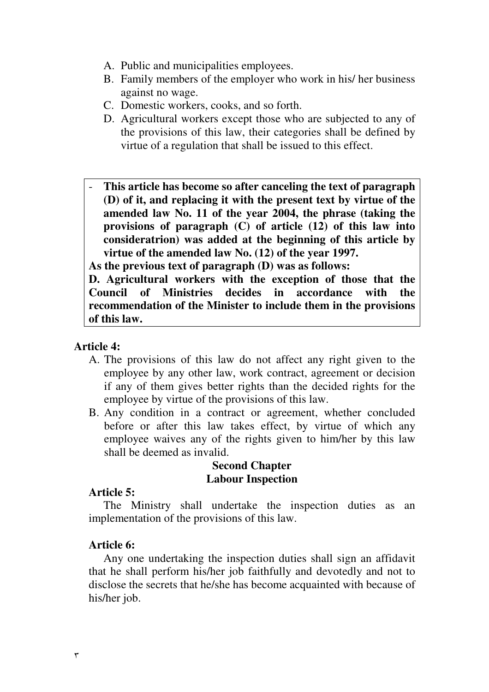- A. Public and municipalities employees.
- B. Family members of the employer who work in his/ her business against no wage.
- C. Domestic workers, cooks, and so forth.
- D. Agricultural workers except those who are subjected to any of the provisions of this law, their categories shall be defined by virtue of a regulation that shall be issued to this effect.
- **This article has become so after canceling the text of paragraph (D) of it, and replacing it with the present text by virtue of the amended law No. 11 of the year 2004, the phrase (taking the provisions of paragraph (C) of article (12) of this law into consideratrion) was added at the beginning of this article by virtue of the amended law No. (12) of the year 1997.**

**As the previous text of paragraph (D) was as follows:** 

**D. Agricultural workers with the exception of those that the Council of Ministries decides in accordance with the recommendation of the Minister to include them in the provisions of this law.** 

#### **Article 4:**

- A. The provisions of this law do not affect any right given to the employee by any other law, work contract, agreement or decision if any of them gives better rights than the decided rights for the employee by virtue of the provisions of this law.
- B. Any condition in a contract or agreement, whether concluded before or after this law takes effect, by virtue of which any employee waives any of the rights given to him/her by this law shall be deemed as invalid.

#### **Second Chapter Labour Inspection**

#### **Article 5:**

 The Ministry shall undertake the inspection duties as an implementation of the provisions of this law.

#### **Article 6:**

Any one undertaking the inspection duties shall sign an affidavit that he shall perform his/her job faithfully and devotedly and not to disclose the secrets that he/she has become acquainted with because of his/her job.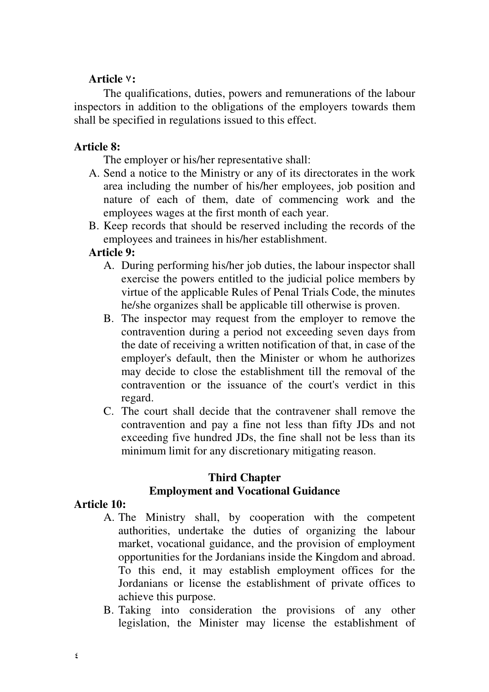# Article **v**:

The qualifications, duties, powers and remunerations of the labour inspectors in addition to the obligations of the employers towards them shall be specified in regulations issued to this effect.

#### **Article 8:**

The employer or his/her representative shall:

- A. Send a notice to the Ministry or any of its directorates in the work area including the number of his/her employees, job position and nature of each of them, date of commencing work and the employees wages at the first month of each year.
- B. Keep records that should be reserved including the records of the employees and trainees in his/her establishment.

### **Article 9:**

- A. During performing his/her job duties, the labour inspector shall exercise the powers entitled to the judicial police members by virtue of the applicable Rules of Penal Trials Code, the minutes he/she organizes shall be applicable till otherwise is proven.
- B. The inspector may request from the employer to remove the contravention during a period not exceeding seven days from the date of receiving a written notification of that, in case of the employer's default, then the Minister or whom he authorizes may decide to close the establishment till the removal of the contravention or the issuance of the court's verdict in this regard.
- C. The court shall decide that the contravener shall remove the contravention and pay a fine not less than fifty JDs and not exceeding five hundred JDs, the fine shall not be less than its minimum limit for any discretionary mitigating reason.

### **Third Chapter Employment and Vocational Guidance**

#### **Article 10:**

- A. The Ministry shall, by cooperation with the competent authorities, undertake the duties of organizing the labour market, vocational guidance, and the provision of employment opportunities for the Jordanians inside the Kingdom and abroad. To this end, it may establish employment offices for the Jordanians or license the establishment of private offices to achieve this purpose.
- B. Taking into consideration the provisions of any other legislation, the Minister may license the establishment of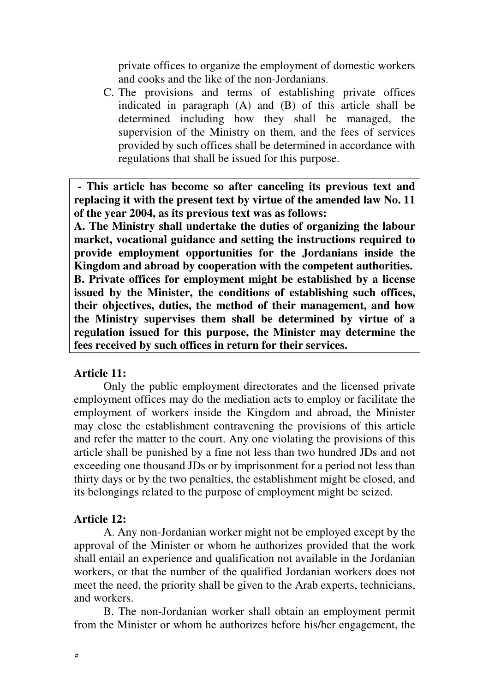private offices to organize the employment of domestic workers and cooks and the like of the non-Jordanians.

C. The provisions and terms of establishing private offices indicated in paragraph (A) and (B) of this article shall be determined including how they shall be managed, the supervision of the Ministry on them, and the fees of services provided by such offices shall be determined in accordance with regulations that shall be issued for this purpose.

**- This article has become so after canceling its previous text and replacing it with the present text by virtue of the amended law No. 11 of the year 2004, as its previous text was as follows:** 

**A. The Ministry shall undertake the duties of organizing the labour market, vocational guidance and setting the instructions required to provide employment opportunities for the Jordanians inside the Kingdom and abroad by cooperation with the competent authorities. B. Private offices for employment might be established by a license issued by the Minister, the conditions of establishing such offices, their objectives, duties, the method of their management, and how the Ministry supervises them shall be determined by virtue of a regulation issued for this purpose, the Minister may determine the fees received by such offices in return for their services.**

#### **Article 11:**

Only the public employment directorates and the licensed private employment offices may do the mediation acts to employ or facilitate the employment of workers inside the Kingdom and abroad, the Minister may close the establishment contravening the provisions of this article and refer the matter to the court. Any one violating the provisions of this article shall be punished by a fine not less than two hundred JDs and not exceeding one thousand JDs or by imprisonment for a period not less than thirty days or by the two penalties, the establishment might be closed, and its belongings related to the purpose of employment might be seized.

#### **Article 12:**

A. Any non-Jordanian worker might not be employed except by the approval of the Minister or whom he authorizes provided that the work shall entail an experience and qualification not available in the Jordanian workers, or that the number of the qualified Jordanian workers does not meet the need, the priority shall be given to the Arab experts, technicians, and workers.

 B. The non-Jordanian worker shall obtain an employment permit from the Minister or whom he authorizes before his/her engagement, the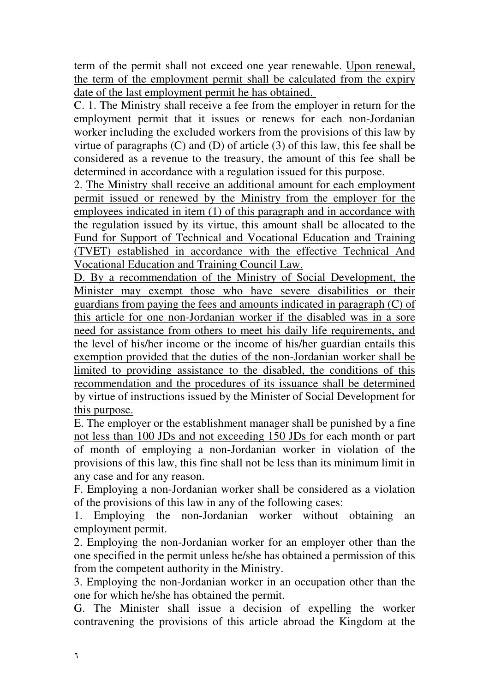term of the permit shall not exceed one year renewable. Upon renewal, the term of the employment permit shall be calculated from the expiry date of the last employment permit he has obtained.

C. 1. The Ministry shall receive a fee from the employer in return for the employment permit that it issues or renews for each non-Jordanian worker including the excluded workers from the provisions of this law by virtue of paragraphs (C) and (D) of article (3) of this law, this fee shall be considered as a revenue to the treasury, the amount of this fee shall be determined in accordance with a regulation issued for this purpose.

2. The Ministry shall receive an additional amount for each employment permit issued or renewed by the Ministry from the employer for the employees indicated in item (1) of this paragraph and in accordance with the regulation issued by its virtue, this amount shall be allocated to the Fund for Support of Technical and Vocational Education and Training (TVET) established in accordance with the effective Technical And Vocational Education and Training Council Law.

D. By a recommendation of the Ministry of Social Development, the Minister may exempt those who have severe disabilities or their guardians from paying the fees and amounts indicated in paragraph (C) of this article for one non-Jordanian worker if the disabled was in a sore need for assistance from others to meet his daily life requirements, and the level of his/her income or the income of his/her guardian entails this exemption provided that the duties of the non-Jordanian worker shall be limited to providing assistance to the disabled, the conditions of this recommendation and the procedures of its issuance shall be determined by virtue of instructions issued by the Minister of Social Development for this purpose.

E. The employer or the establishment manager shall be punished by a fine not less than 100 JDs and not exceeding 150 JDs for each month or part of month of employing a non-Jordanian worker in violation of the provisions of this law, this fine shall not be less than its minimum limit in any case and for any reason.

F. Employing a non-Jordanian worker shall be considered as a violation of the provisions of this law in any of the following cases:

1. Employing the non-Jordanian worker without obtaining an employment permit.

2. Employing the non-Jordanian worker for an employer other than the one specified in the permit unless he/she has obtained a permission of this from the competent authority in the Ministry.

3. Employing the non-Jordanian worker in an occupation other than the one for which he/she has obtained the permit.

G. The Minister shall issue a decision of expelling the worker contravening the provisions of this article abroad the Kingdom at the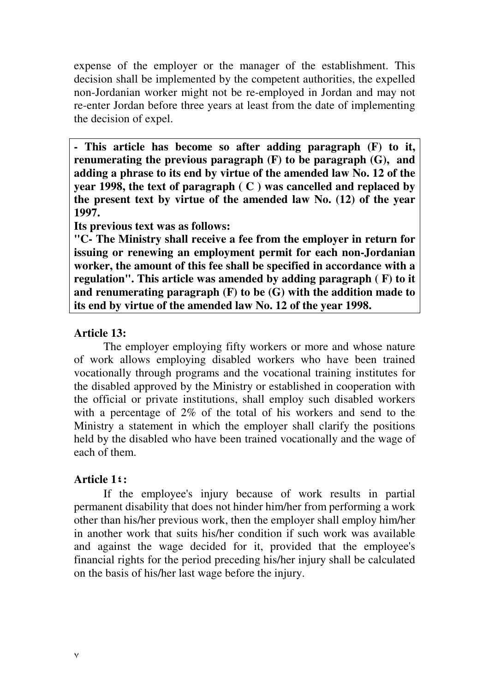expense of the employer or the manager of the establishment. This decision shall be implemented by the competent authorities, the expelled non-Jordanian worker might not be re-employed in Jordan and may not re-enter Jordan before three years at least from the date of implementing the decision of expel.

**- This article has become so after adding paragraph (F) to it, renumerating the previous paragraph (F) to be paragraph (G), and adding a phrase to its end by virtue of the amended law No. 12 of the year 1998, the text of paragraph ( C ) was cancelled and replaced by the present text by virtue of the amended law No. (12) of the year 1997.** 

**Its previous text was as follows:** 

**"C- The Ministry shall receive a fee from the employer in return for issuing or renewing an employment permit for each non-Jordanian worker, the amount of this fee shall be specified in accordance with a regulation". This article was amended by adding paragraph ( F) to it and renumerating paragraph (F) to be (G) with the addition made to its end by virtue of the amended law No. 12 of the year 1998.** 

### **Article 13:**

The employer employing fifty workers or more and whose nature of work allows employing disabled workers who have been trained vocationally through programs and the vocational training institutes for the disabled approved by the Ministry or established in cooperation with the official or private institutions, shall employ such disabled workers with a percentage of 2% of the total of his workers and send to the Ministry a statement in which the employer shall clarify the positions held by the disabled who have been trained vocationally and the wage of each of them.

# **Article 1:**

 If the employee's injury because of work results in partial permanent disability that does not hinder him/her from performing a work other than his/her previous work, then the employer shall employ him/her in another work that suits his/her condition if such work was available and against the wage decided for it, provided that the employee's financial rights for the period preceding his/her injury shall be calculated on the basis of his/her last wage before the injury.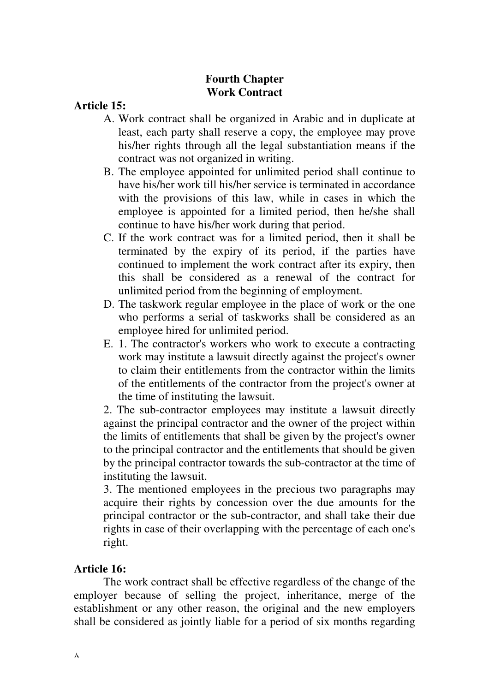# **Fourth Chapter Work Contract**

**Article 15:** 

- A. Work contract shall be organized in Arabic and in duplicate at least, each party shall reserve a copy, the employee may prove his/her rights through all the legal substantiation means if the contract was not organized in writing.
- B. The employee appointed for unlimited period shall continue to have his/her work till his/her service is terminated in accordance with the provisions of this law, while in cases in which the employee is appointed for a limited period, then he/she shall continue to have his/her work during that period.
- C. If the work contract was for a limited period, then it shall be terminated by the expiry of its period, if the parties have continued to implement the work contract after its expiry, then this shall be considered as a renewal of the contract for unlimited period from the beginning of employment.
- D. The taskwork regular employee in the place of work or the one who performs a serial of taskworks shall be considered as an employee hired for unlimited period.
- E. 1. The contractor's workers who work to execute a contracting work may institute a lawsuit directly against the project's owner to claim their entitlements from the contractor within the limits of the entitlements of the contractor from the project's owner at the time of instituting the lawsuit.

2. The sub-contractor employees may institute a lawsuit directly against the principal contractor and the owner of the project within the limits of entitlements that shall be given by the project's owner to the principal contractor and the entitlements that should be given by the principal contractor towards the sub-contractor at the time of instituting the lawsuit.

3. The mentioned employees in the precious two paragraphs may acquire their rights by concession over the due amounts for the principal contractor or the sub-contractor, and shall take their due rights in case of their overlapping with the percentage of each one's right.

# **Article 16:**

The work contract shall be effective regardless of the change of the employer because of selling the project, inheritance, merge of the establishment or any other reason, the original and the new employers shall be considered as jointly liable for a period of six months regarding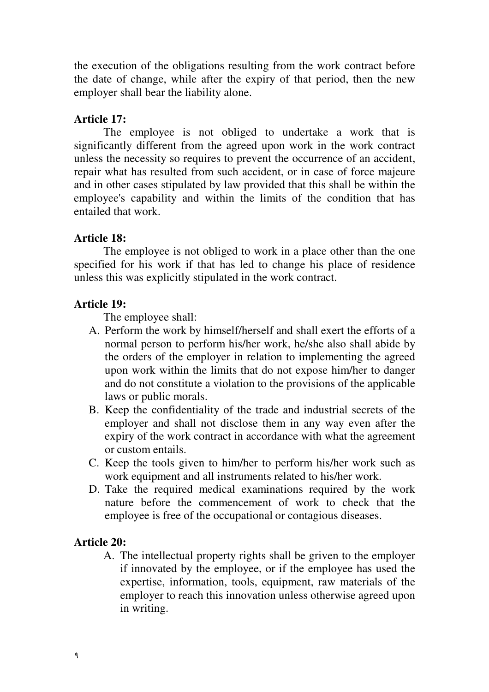the execution of the obligations resulting from the work contract before the date of change, while after the expiry of that period, then the new employer shall bear the liability alone.

### **Article 17:**

The employee is not obliged to undertake a work that is significantly different from the agreed upon work in the work contract unless the necessity so requires to prevent the occurrence of an accident, repair what has resulted from such accident, or in case of force majeure and in other cases stipulated by law provided that this shall be within the employee's capability and within the limits of the condition that has entailed that work.

### **Article 18:**

 The employee is not obliged to work in a place other than the one specified for his work if that has led to change his place of residence unless this was explicitly stipulated in the work contract.

### **Article 19:**

The employee shall:

- A. Perform the work by himself/herself and shall exert the efforts of a normal person to perform his/her work, he/she also shall abide by the orders of the employer in relation to implementing the agreed upon work within the limits that do not expose him/her to danger and do not constitute a violation to the provisions of the applicable laws or public morals.
- B. Keep the confidentiality of the trade and industrial secrets of the employer and shall not disclose them in any way even after the expiry of the work contract in accordance with what the agreement or custom entails.
- C. Keep the tools given to him/her to perform his/her work such as work equipment and all instruments related to his/her work.
- D. Take the required medical examinations required by the work nature before the commencement of work to check that the employee is free of the occupational or contagious diseases.

### **Article 20:**

A. The intellectual property rights shall be griven to the employer if innovated by the employee, or if the employee has used the expertise, information, tools, equipment, raw materials of the employer to reach this innovation unless otherwise agreed upon in writing.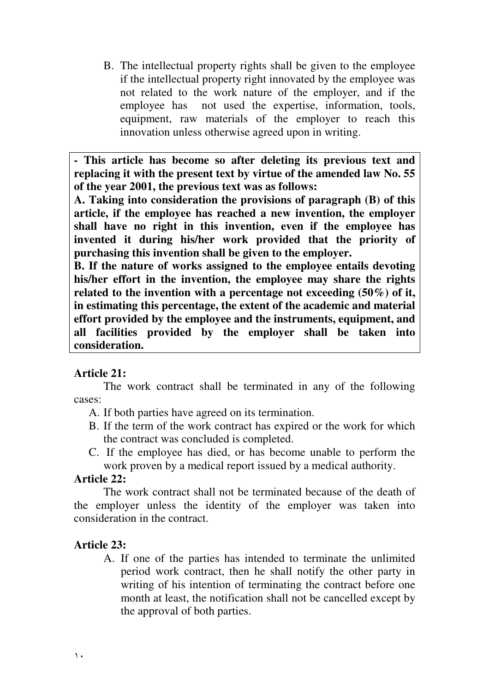B. The intellectual property rights shall be given to the employee if the intellectual property right innovated by the employee was not related to the work nature of the employer, and if the employee has not used the expertise, information, tools, equipment, raw materials of the employer to reach this innovation unless otherwise agreed upon in writing.

**- This article has become so after deleting its previous text and replacing it with the present text by virtue of the amended law No. 55 of the year 2001, the previous text was as follows:**

**A. Taking into consideration the provisions of paragraph (B) of this article, if the employee has reached a new invention, the employer shall have no right in this invention, even if the employee has invented it during his/her work provided that the priority of purchasing this invention shall be given to the employer.** 

**B. If the nature of works assigned to the employee entails devoting his/her effort in the invention, the employee may share the rights related to the invention with a percentage not exceeding (50%) of it, in estimating this percentage, the extent of the academic and material effort provided by the employee and the instruments, equipment, and all facilities provided by the employer shall be taken into consideration.**

### **Article 21:**

 The work contract shall be terminated in any of the following cases:

- A. If both parties have agreed on its termination.
- B. If the term of the work contract has expired or the work for which the contract was concluded is completed.
- C. If the employee has died, or has become unable to perform the work proven by a medical report issued by a medical authority.

#### **Article 22:**

The work contract shall not be terminated because of the death of the employer unless the identity of the employer was taken into consideration in the contract.

### **Article 23:**

A. If one of the parties has intended to terminate the unlimited period work contract, then he shall notify the other party in writing of his intention of terminating the contract before one month at least, the notification shall not be cancelled except by the approval of both parties.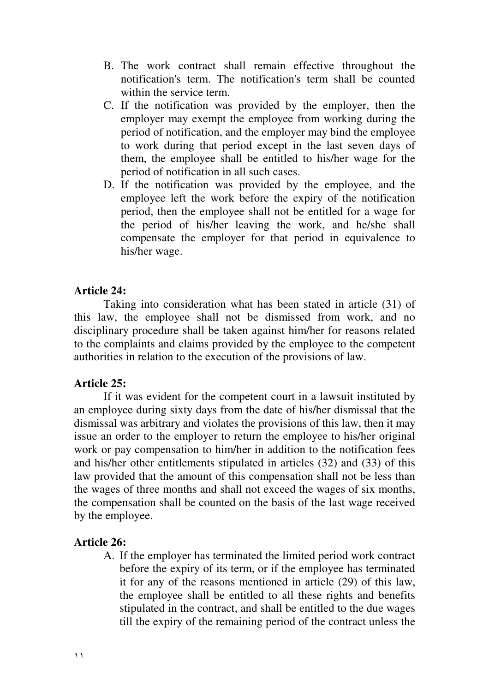- B. The work contract shall remain effective throughout the notification's term. The notification's term shall be counted within the service term.
- C. If the notification was provided by the employer, then the employer may exempt the employee from working during the period of notification, and the employer may bind the employee to work during that period except in the last seven days of them, the employee shall be entitled to his/her wage for the period of notification in all such cases.
- D. If the notification was provided by the employee, and the employee left the work before the expiry of the notification period, then the employee shall not be entitled for a wage for the period of his/her leaving the work, and he/she shall compensate the employer for that period in equivalence to his/her wage.

#### **Article 24:**

 Taking into consideration what has been stated in article (31) of this law, the employee shall not be dismissed from work, and no disciplinary procedure shall be taken against him/her for reasons related to the complaints and claims provided by the employee to the competent authorities in relation to the execution of the provisions of law.

#### **Article 25:**

 If it was evident for the competent court in a lawsuit instituted by an employee during sixty days from the date of his/her dismissal that the dismissal was arbitrary and violates the provisions of this law, then it may issue an order to the employer to return the employee to his/her original work or pay compensation to him/her in addition to the notification fees and his/her other entitlements stipulated in articles (32) and (33) of this law provided that the amount of this compensation shall not be less than the wages of three months and shall not exceed the wages of six months, the compensation shall be counted on the basis of the last wage received by the employee.

#### **Article 26:**

A. If the employer has terminated the limited period work contract before the expiry of its term, or if the employee has terminated it for any of the reasons mentioned in article (29) of this law, the employee shall be entitled to all these rights and benefits stipulated in the contract, and shall be entitled to the due wages till the expiry of the remaining period of the contract unless the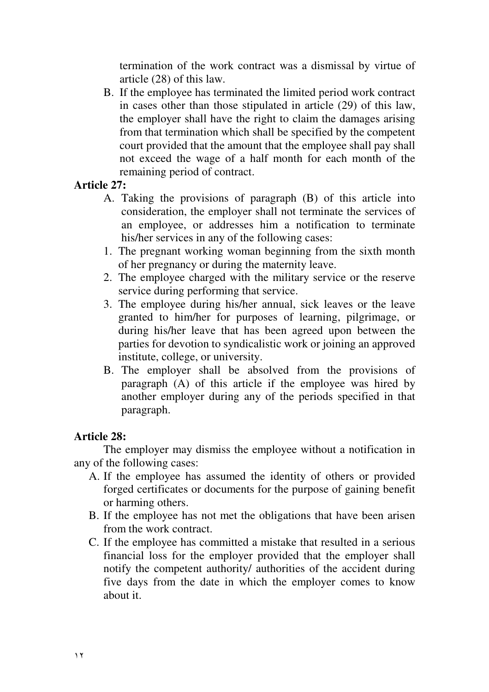termination of the work contract was a dismissal by virtue of article (28) of this law.

B. If the employee has terminated the limited period work contract in cases other than those stipulated in article (29) of this law, the employer shall have the right to claim the damages arising from that termination which shall be specified by the competent court provided that the amount that the employee shall pay shall not exceed the wage of a half month for each month of the remaining period of contract.

### **Article 27:**

- A. Taking the provisions of paragraph (B) of this article into consideration, the employer shall not terminate the services of an employee, or addresses him a notification to terminate his/her services in any of the following cases:
- 1. The pregnant working woman beginning from the sixth month of her pregnancy or during the maternity leave.
- 2. The employee charged with the military service or the reserve service during performing that service.
- 3. The employee during his/her annual, sick leaves or the leave granted to him/her for purposes of learning, pilgrimage, or during his/her leave that has been agreed upon between the parties for devotion to syndicalistic work or joining an approved institute, college, or university.
- B. The employer shall be absolved from the provisions of paragraph  $(A)$  of this article if the employee was hired by another employer during any of the periods specified in that paragraph.

### **Article 28:**

The employer may dismiss the employee without a notification in any of the following cases:

- A. If the employee has assumed the identity of others or provided forged certificates or documents for the purpose of gaining benefit or harming others.
- B. If the employee has not met the obligations that have been arisen from the work contract.
- C. If the employee has committed a mistake that resulted in a serious financial loss for the employer provided that the employer shall notify the competent authority/ authorities of the accident during five days from the date in which the employer comes to know about it.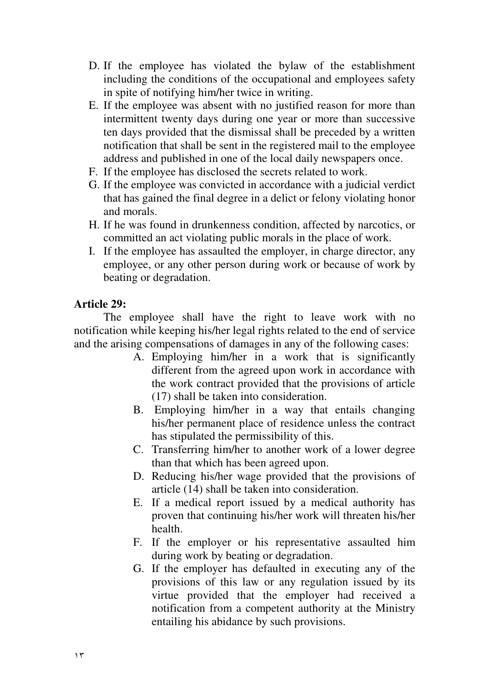- D. If the employee has violated the bylaw of the establishment including the conditions of the occupational and employees safety in spite of notifying him/her twice in writing.
- E. If the employee was absent with no justified reason for more than intermittent twenty days during one year or more than successive ten days provided that the dismissal shall be preceded by a written notification that shall be sent in the registered mail to the employee address and published in one of the local daily newspapers once.
- F. If the employee has disclosed the secrets related to work.
- G. If the employee was convicted in accordance with a judicial verdict that has gained the final degree in a delict or felony violating honor and morals.
- H. If he was found in drunkenness condition, affected by narcotics, or committed an act violating public morals in the place of work.
- I. If the employee has assaulted the employer, in charge director, any employee, or any other person during work or because of work by beating or degradation.

### **Article 29:**

The employee shall have the right to leave work with no notification while keeping his/her legal rights related to the end of service and the arising compensations of damages in any of the following cases:

- A. Employing him/her in a work that is significantly different from the agreed upon work in accordance with the work contract provided that the provisions of article (17) shall be taken into consideration.
- B. Employing him/her in a way that entails changing his/her permanent place of residence unless the contract has stipulated the permissibility of this.
- C. Transferring him/her to another work of a lower degree than that which has been agreed upon.
- D. Reducing his/her wage provided that the provisions of article (14) shall be taken into consideration.
- E. If a medical report issued by a medical authority has proven that continuing his/her work will threaten his/her health.
- F. If the employer or his representative assaulted him during work by beating or degradation.
- G. If the employer has defaulted in executing any of the provisions of this law or any regulation issued by its virtue provided that the employer had received a notification from a competent authority at the Ministry entailing his abidance by such provisions.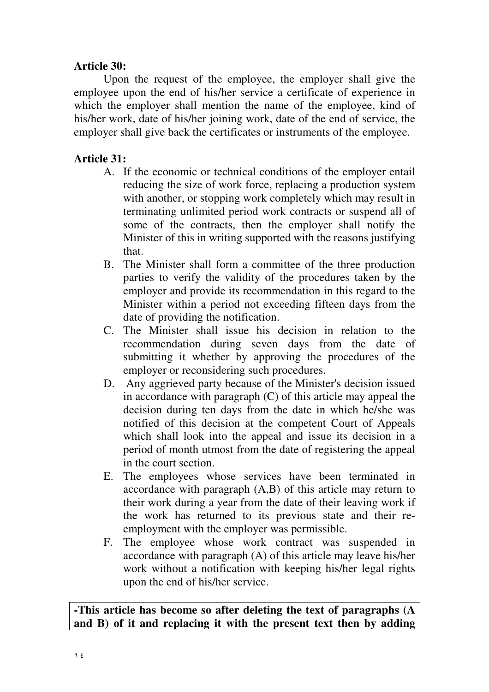### **Article 30:**

Upon the request of the employee, the employer shall give the employee upon the end of his/her service a certificate of experience in which the employer shall mention the name of the employee, kind of his/her work, date of his/her joining work, date of the end of service, the employer shall give back the certificates or instruments of the employee.

# **Article 31:**

- A. If the economic or technical conditions of the employer entail reducing the size of work force, replacing a production system with another, or stopping work completely which may result in terminating unlimited period work contracts or suspend all of some of the contracts, then the employer shall notify the Minister of this in writing supported with the reasons justifying that.
- B. The Minister shall form a committee of the three production parties to verify the validity of the procedures taken by the employer and provide its recommendation in this regard to the Minister within a period not exceeding fifteen days from the date of providing the notification.
- C. The Minister shall issue his decision in relation to the recommendation during seven days from the date of submitting it whether by approving the procedures of the employer or reconsidering such procedures.
- D. Any aggrieved party because of the Minister's decision issued in accordance with paragraph (C) of this article may appeal the decision during ten days from the date in which he/she was notified of this decision at the competent Court of Appeals which shall look into the appeal and issue its decision in a period of month utmost from the date of registering the appeal in the court section.
- E. The employees whose services have been terminated in accordance with paragraph (A,B) of this article may return to their work during a year from the date of their leaving work if the work has returned to its previous state and their reemployment with the employer was permissible.
- F. The employee whose work contract was suspended in accordance with paragraph (A) of this article may leave his/her work without a notification with keeping his/her legal rights upon the end of his/her service.

**-This article has become so after deleting the text of paragraphs (A and B) of it and replacing it with the present text then by adding**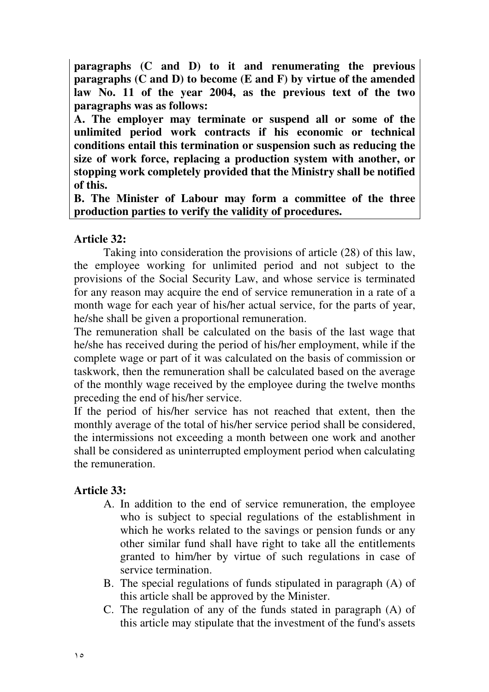**paragraphs (C and D) to it and renumerating the previous paragraphs (C and D) to become (E and F) by virtue of the amended law No. 11 of the year 2004, as the previous text of the two paragraphs was as follows:** 

**A. The employer may terminate or suspend all or some of the unlimited period work contracts if his economic or technical conditions entail this termination or suspension such as reducing the size of work force, replacing a production system with another, or stopping work completely provided that the Ministry shall be notified of this.** 

**B. The Minister of Labour may form a committee of the three production parties to verify the validity of procedures.** 

### **Article 32:**

Taking into consideration the provisions of article (28) of this law, the employee working for unlimited period and not subject to the provisions of the Social Security Law, and whose service is terminated for any reason may acquire the end of service remuneration in a rate of a month wage for each year of his/her actual service, for the parts of year, he/she shall be given a proportional remuneration.

The remuneration shall be calculated on the basis of the last wage that he/she has received during the period of his/her employment, while if the complete wage or part of it was calculated on the basis of commission or taskwork, then the remuneration shall be calculated based on the average of the monthly wage received by the employee during the twelve months preceding the end of his/her service.

If the period of his/her service has not reached that extent, then the monthly average of the total of his/her service period shall be considered, the intermissions not exceeding a month between one work and another shall be considered as uninterrupted employment period when calculating the remuneration.

### **Article 33:**

- A. In addition to the end of service remuneration, the employee who is subject to special regulations of the establishment in which he works related to the savings or pension funds or any other similar fund shall have right to take all the entitlements granted to him/her by virtue of such regulations in case of service termination.
- B. The special regulations of funds stipulated in paragraph (A) of this article shall be approved by the Minister.
- C. The regulation of any of the funds stated in paragraph (A) of this article may stipulate that the investment of the fund's assets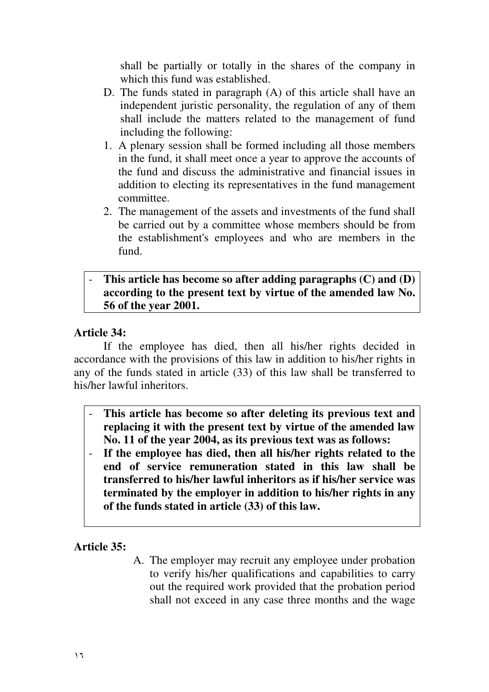shall be partially or totally in the shares of the company in which this fund was established.

- D. The funds stated in paragraph (A) of this article shall have an independent juristic personality, the regulation of any of them shall include the matters related to the management of fund including the following:
- 1. A plenary session shall be formed including all those members in the fund, it shall meet once a year to approve the accounts of the fund and discuss the administrative and financial issues in addition to electing its representatives in the fund management committee.
- 2. The management of the assets and investments of the fund shall be carried out by a committee whose members should be from the establishment's employees and who are members in the fund.

### - **This article has become so after adding paragraphs (C) and (D) according to the present text by virtue of the amended law No. 56 of the year 2001.**

### **Article 34:**

If the employee has died, then all his/her rights decided in accordance with the provisions of this law in addition to his/her rights in any of the funds stated in article (33) of this law shall be transferred to his/her lawful inheritors.

- **This article has become so after deleting its previous text and replacing it with the present text by virtue of the amended law No. 11 of the year 2004, as its previous text was as follows:**
- **If the employee has died, then all his/her rights related to the end of service remuneration stated in this law shall be transferred to his/her lawful inheritors as if his/her service was terminated by the employer in addition to his/her rights in any of the funds stated in article (33) of this law.**

### **Article 35:**

A. The employer may recruit any employee under probation to verify his/her qualifications and capabilities to carry out the required work provided that the probation period shall not exceed in any case three months and the wage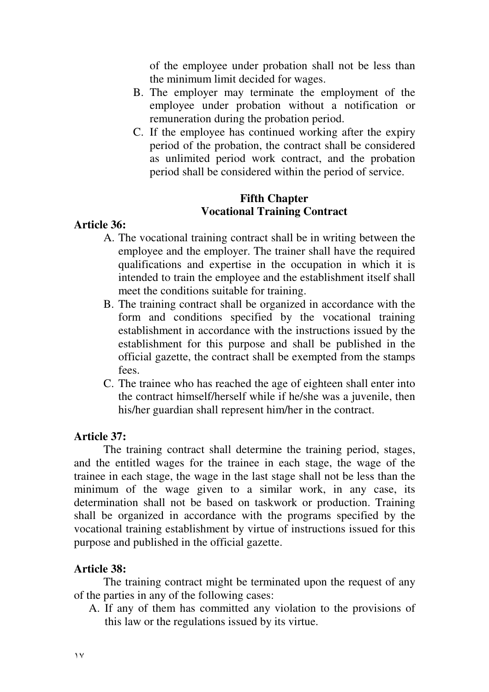of the employee under probation shall not be less than the minimum limit decided for wages.

- B. The employer may terminate the employment of the employee under probation without a notification or remuneration during the probation period.
- C. If the employee has continued working after the expiry period of the probation, the contract shall be considered as unlimited period work contract, and the probation period shall be considered within the period of service.

### **Fifth Chapter Vocational Training Contract**

### **Article 36:**

- A. The vocational training contract shall be in writing between the employee and the employer. The trainer shall have the required qualifications and expertise in the occupation in which it is intended to train the employee and the establishment itself shall meet the conditions suitable for training.
- B. The training contract shall be organized in accordance with the form and conditions specified by the vocational training establishment in accordance with the instructions issued by the establishment for this purpose and shall be published in the official gazette, the contract shall be exempted from the stamps fees.
- C. The trainee who has reached the age of eighteen shall enter into the contract himself/herself while if he/she was a juvenile, then his/her guardian shall represent him/her in the contract.

### **Article 37:**

The training contract shall determine the training period, stages, and the entitled wages for the trainee in each stage, the wage of the trainee in each stage, the wage in the last stage shall not be less than the minimum of the wage given to a similar work, in any case, its determination shall not be based on taskwork or production. Training shall be organized in accordance with the programs specified by the vocational training establishment by virtue of instructions issued for this purpose and published in the official gazette.

### **Article 38:**

 The training contract might be terminated upon the request of any of the parties in any of the following cases:

A. If any of them has committed any violation to the provisions of this law or the regulations issued by its virtue.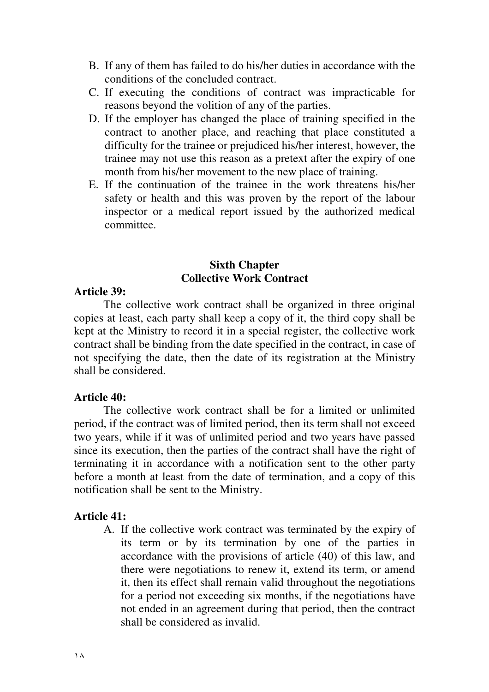- B. If any of them has failed to do his/her duties in accordance with the conditions of the concluded contract.
- C. If executing the conditions of contract was impracticable for reasons beyond the volition of any of the parties.
- D. If the employer has changed the place of training specified in the contract to another place, and reaching that place constituted a difficulty for the trainee or prejudiced his/her interest, however, the trainee may not use this reason as a pretext after the expiry of one month from his/her movement to the new place of training.
- E. If the continuation of the trainee in the work threatens his/her safety or health and this was proven by the report of the labour inspector or a medical report issued by the authorized medical committee.

### **Sixth Chapter Collective Work Contract**

#### **Article 39:**

The collective work contract shall be organized in three original copies at least, each party shall keep a copy of it, the third copy shall be kept at the Ministry to record it in a special register, the collective work contract shall be binding from the date specified in the contract, in case of not specifying the date, then the date of its registration at the Ministry shall be considered.

#### **Article 40:**

The collective work contract shall be for a limited or unlimited period, if the contract was of limited period, then its term shall not exceed two years, while if it was of unlimited period and two years have passed since its execution, then the parties of the contract shall have the right of terminating it in accordance with a notification sent to the other party before a month at least from the date of termination, and a copy of this notification shall be sent to the Ministry.

#### **Article 41:**

A. If the collective work contract was terminated by the expiry of its term or by its termination by one of the parties in accordance with the provisions of article (40) of this law, and there were negotiations to renew it, extend its term, or amend it, then its effect shall remain valid throughout the negotiations for a period not exceeding six months, if the negotiations have not ended in an agreement during that period, then the contract shall be considered as invalid.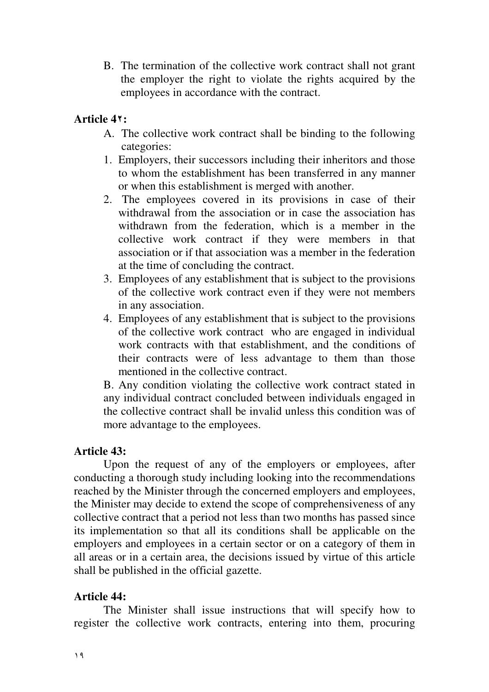B. The termination of the collective work contract shall not grant the employer the right to violate the rights acquired by the employees in accordance with the contract.

### **Article 4:**

- A. The collective work contract shall be binding to the following categories:
- 1. Employers, their successors including their inheritors and those to whom the establishment has been transferred in any manner or when this establishment is merged with another.
- 2. The employees covered in its provisions in case of their withdrawal from the association or in case the association has withdrawn from the federation, which is a member in the collective work contract if they were members in that association or if that association was a member in the federation at the time of concluding the contract.
- 3. Employees of any establishment that is subject to the provisions of the collective work contract even if they were not members in any association.
- 4. Employees of any establishment that is subject to the provisions of the collective work contract who are engaged in individual work contracts with that establishment, and the conditions of their contracts were of less advantage to them than those mentioned in the collective contract.

B. Any condition violating the collective work contract stated in any individual contract concluded between individuals engaged in the collective contract shall be invalid unless this condition was of more advantage to the employees.

### **Article 43:**

 Upon the request of any of the employers or employees, after conducting a thorough study including looking into the recommendations reached by the Minister through the concerned employers and employees, the Minister may decide to extend the scope of comprehensiveness of any collective contract that a period not less than two months has passed since its implementation so that all its conditions shall be applicable on the employers and employees in a certain sector or on a category of them in all areas or in a certain area, the decisions issued by virtue of this article shall be published in the official gazette.

### **Article 44:**

 The Minister shall issue instructions that will specify how to register the collective work contracts, entering into them, procuring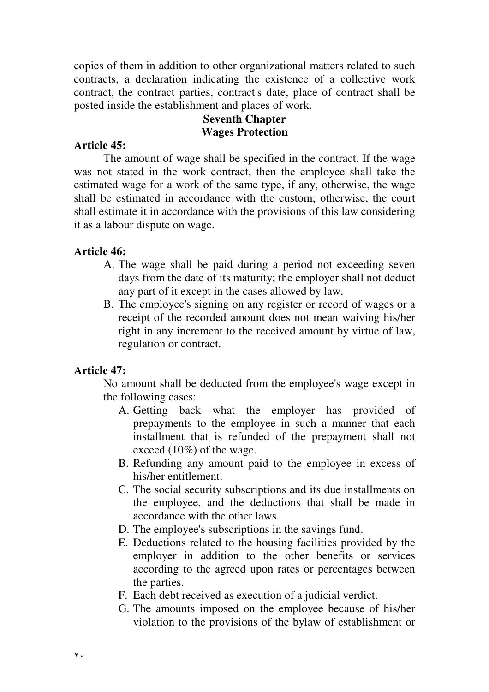copies of them in addition to other organizational matters related to such contracts, a declaration indicating the existence of a collective work contract, the contract parties, contract's date, place of contract shall be posted inside the establishment and places of work.

### **Seventh Chapter Wages Protection**

### **Article 45:**

The amount of wage shall be specified in the contract. If the wage was not stated in the work contract, then the employee shall take the estimated wage for a work of the same type, if any, otherwise, the wage shall be estimated in accordance with the custom; otherwise, the court shall estimate it in accordance with the provisions of this law considering it as a labour dispute on wage.

### **Article 46:**

- A. The wage shall be paid during a period not exceeding seven days from the date of its maturity; the employer shall not deduct any part of it except in the cases allowed by law.
- B. The employee's signing on any register or record of wages or a receipt of the recorded amount does not mean waiving his/her right in any increment to the received amount by virtue of law, regulation or contract.

# **Article 47:**

No amount shall be deducted from the employee's wage except in the following cases:

- A. Getting back what the employer has provided of prepayments to the employee in such a manner that each installment that is refunded of the prepayment shall not exceed (10%) of the wage.
- B. Refunding any amount paid to the employee in excess of his/her entitlement.
- C. The social security subscriptions and its due installments on the employee, and the deductions that shall be made in accordance with the other laws.
- D. The employee's subscriptions in the savings fund.
- E. Deductions related to the housing facilities provided by the employer in addition to the other benefits or services according to the agreed upon rates or percentages between the parties.
- F. Each debt received as execution of a judicial verdict.
- G. The amounts imposed on the employee because of his/her violation to the provisions of the bylaw of establishment or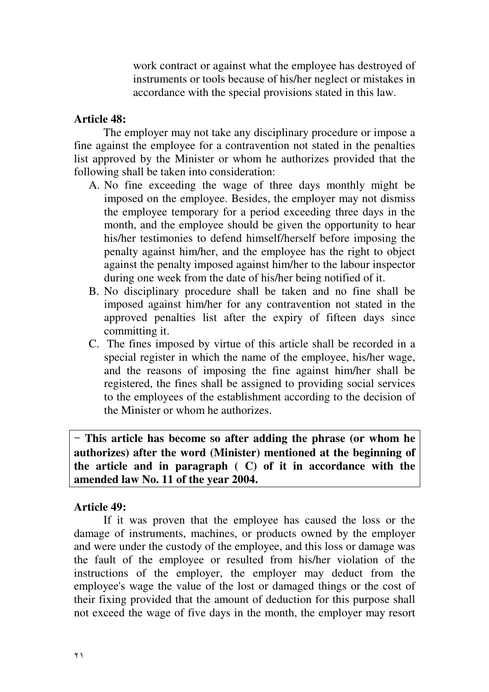work contract or against what the employee has destroyed of instruments or tools because of his/her neglect or mistakes in accordance with the special provisions stated in this law.

#### **Article 48:**

 The employer may not take any disciplinary procedure or impose a fine against the employee for a contravention not stated in the penalties list approved by the Minister or whom he authorizes provided that the following shall be taken into consideration:

- A. No fine exceeding the wage of three days monthly might be imposed on the employee. Besides, the employer may not dismiss the employee temporary for a period exceeding three days in the month, and the employee should be given the opportunity to hear his/her testimonies to defend himself/herself before imposing the penalty against him/her, and the employee has the right to object against the penalty imposed against him/her to the labour inspector during one week from the date of his/her being notified of it.
- B. No disciplinary procedure shall be taken and no fine shall be imposed against him/her for any contravention not stated in the approved penalties list after the expiry of fifteen days since committing it.
- C. The fines imposed by virtue of this article shall be recorded in a special register in which the name of the employee, his/her wage, and the reasons of imposing the fine against him/her shall be registered, the fines shall be assigned to providing social services to the employees of the establishment according to the decision of the Minister or whom he authorizes.

 **This article has become so after adding the phrase (or whom he authorizes) after the word (Minister) mentioned at the beginning of the article and in paragraph ( C) of it in accordance with the amended law No. 11 of the year 2004.** 

#### **Article 49:**

If it was proven that the employee has caused the loss or the damage of instruments, machines, or products owned by the employer and were under the custody of the employee, and this loss or damage was the fault of the employee or resulted from his/her violation of the instructions of the employer, the employer may deduct from the employee's wage the value of the lost or damaged things or the cost of their fixing provided that the amount of deduction for this purpose shall not exceed the wage of five days in the month, the employer may resort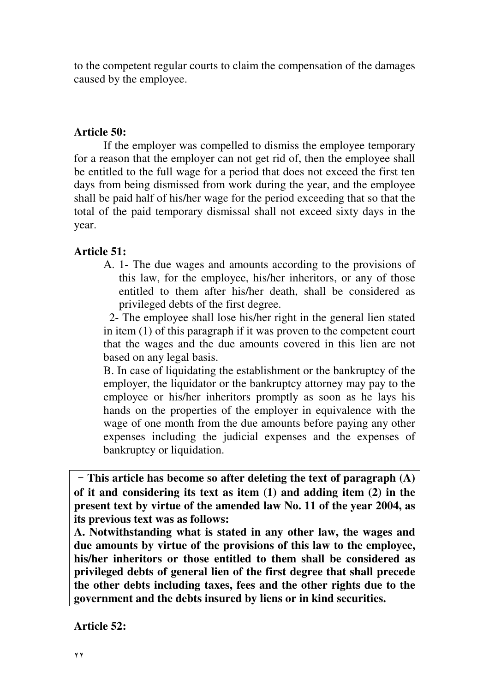to the competent regular courts to claim the compensation of the damages caused by the employee.

#### **Article 50:**

If the employer was compelled to dismiss the employee temporary for a reason that the employer can not get rid of, then the employee shall be entitled to the full wage for a period that does not exceed the first ten days from being dismissed from work during the year, and the employee shall be paid half of his/her wage for the period exceeding that so that the total of the paid temporary dismissal shall not exceed sixty days in the year.

### **Article 51:**

A. 1- The due wages and amounts according to the provisions of this law, for the employee, his/her inheritors, or any of those entitled to them after his/her death, shall be considered as privileged debts of the first degree.

 2- The employee shall lose his/her right in the general lien stated in item (1) of this paragraph if it was proven to the competent court that the wages and the due amounts covered in this lien are not based on any legal basis.

B. In case of liquidating the establishment or the bankruptcy of the employer, the liquidator or the bankruptcy attorney may pay to the employee or his/her inheritors promptly as soon as he lays his hands on the properties of the employer in equivalence with the wage of one month from the due amounts before paying any other expenses including the judicial expenses and the expenses of bankruptcy or liquidation.

 **This article has become so after deleting the text of paragraph (A) of it and considering its text as item (1) and adding item (2) in the present text by virtue of the amended law No. 11 of the year 2004, as its previous text was as follows:** 

**A. Notwithstanding what is stated in any other law, the wages and due amounts by virtue of the provisions of this law to the employee, his/her inheritors or those entitled to them shall be considered as privileged debts of general lien of the first degree that shall precede the other debts including taxes, fees and the other rights due to the government and the debts insured by liens or in kind securities.**

**Article 52:**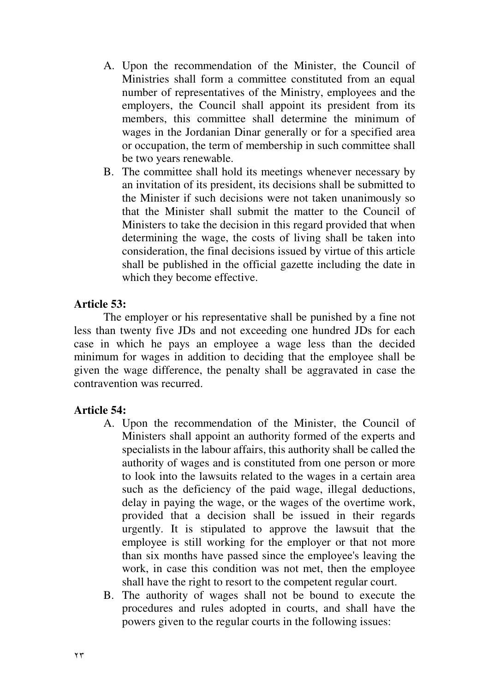- A. Upon the recommendation of the Minister, the Council of Ministries shall form a committee constituted from an equal number of representatives of the Ministry, employees and the employers, the Council shall appoint its president from its members, this committee shall determine the minimum of wages in the Jordanian Dinar generally or for a specified area or occupation, the term of membership in such committee shall be two years renewable.
- B. The committee shall hold its meetings whenever necessary by an invitation of its president, its decisions shall be submitted to the Minister if such decisions were not taken unanimously so that the Minister shall submit the matter to the Council of Ministers to take the decision in this regard provided that when determining the wage, the costs of living shall be taken into consideration, the final decisions issued by virtue of this article shall be published in the official gazette including the date in which they become effective.

### **Article 53:**

The employer or his representative shall be punished by a fine not less than twenty five JDs and not exceeding one hundred JDs for each case in which he pays an employee a wage less than the decided minimum for wages in addition to deciding that the employee shall be given the wage difference, the penalty shall be aggravated in case the contravention was recurred.

### **Article 54:**

- A. Upon the recommendation of the Minister, the Council of Ministers shall appoint an authority formed of the experts and specialists in the labour affairs, this authority shall be called the authority of wages and is constituted from one person or more to look into the lawsuits related to the wages in a certain area such as the deficiency of the paid wage, illegal deductions, delay in paying the wage, or the wages of the overtime work, provided that a decision shall be issued in their regards urgently. It is stipulated to approve the lawsuit that the employee is still working for the employer or that not more than six months have passed since the employee's leaving the work, in case this condition was not met, then the employee shall have the right to resort to the competent regular court.
- B. The authority of wages shall not be bound to execute the procedures and rules adopted in courts, and shall have the powers given to the regular courts in the following issues: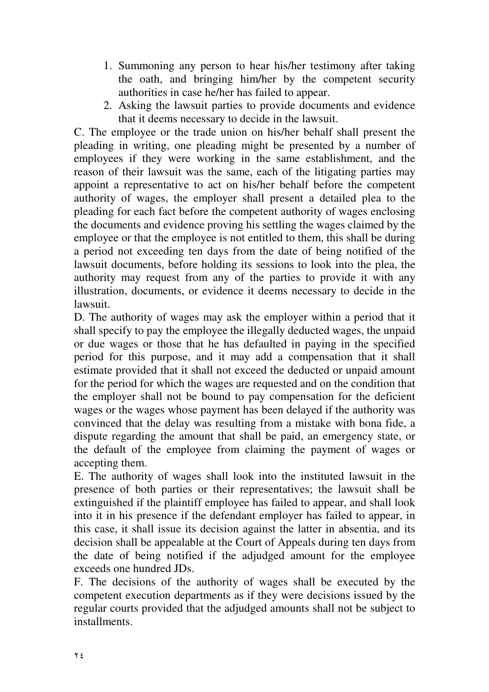- 1. Summoning any person to hear his/her testimony after taking the oath, and bringing him/her by the competent security authorities in case he/her has failed to appear.
- 2. Asking the lawsuit parties to provide documents and evidence that it deems necessary to decide in the lawsuit.

C. The employee or the trade union on his/her behalf shall present the pleading in writing, one pleading might be presented by a number of employees if they were working in the same establishment, and the reason of their lawsuit was the same, each of the litigating parties may appoint a representative to act on his/her behalf before the competent authority of wages, the employer shall present a detailed plea to the pleading for each fact before the competent authority of wages enclosing the documents and evidence proving his settling the wages claimed by the employee or that the employee is not entitled to them, this shall be during a period not exceeding ten days from the date of being notified of the lawsuit documents, before holding its sessions to look into the plea, the authority may request from any of the parties to provide it with any illustration, documents, or evidence it deems necessary to decide in the lawsuit.

D. The authority of wages may ask the employer within a period that it shall specify to pay the employee the illegally deducted wages, the unpaid or due wages or those that he has defaulted in paying in the specified period for this purpose, and it may add a compensation that it shall estimate provided that it shall not exceed the deducted or unpaid amount for the period for which the wages are requested and on the condition that the employer shall not be bound to pay compensation for the deficient wages or the wages whose payment has been delayed if the authority was convinced that the delay was resulting from a mistake with bona fide, a dispute regarding the amount that shall be paid, an emergency state, or the default of the employee from claiming the payment of wages or accepting them.

E. The authority of wages shall look into the instituted lawsuit in the presence of both parties or their representatives; the lawsuit shall be extinguished if the plaintiff employee has failed to appear, and shall look into it in his presence if the defendant employer has failed to appear, in this case, it shall issue its decision against the latter in absentia, and its decision shall be appealable at the Court of Appeals during ten days from the date of being notified if the adjudged amount for the employee exceeds one hundred JDs.

F. The decisions of the authority of wages shall be executed by the competent execution departments as if they were decisions issued by the regular courts provided that the adjudged amounts shall not be subject to installments.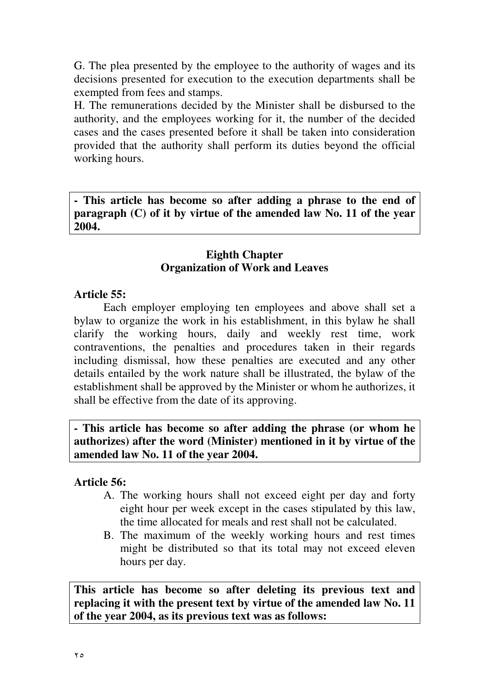G. The plea presented by the employee to the authority of wages and its decisions presented for execution to the execution departments shall be exempted from fees and stamps.

H. The remunerations decided by the Minister shall be disbursed to the authority, and the employees working for it, the number of the decided cases and the cases presented before it shall be taken into consideration provided that the authority shall perform its duties beyond the official working hours.

**- This article has become so after adding a phrase to the end of paragraph (C) of it by virtue of the amended law No. 11 of the year 2004.**  ֺ֝֡

### **Eighth Chapter Organization of Work and Leaves**

### **Article 55:**

Each employer employing ten employees and above shall set a bylaw to organize the work in his establishment, in this bylaw he shall clarify the working hours, daily and weekly rest time, work contraventions, the penalties and procedures taken in their regards including dismissal, how these penalties are executed and any other details entailed by the work nature shall be illustrated, the bylaw of the establishment shall be approved by the Minister or whom he authorizes, it shall be effective from the date of its approving.

**- This article has become so after adding the phrase (or whom he authorizes) after the word (Minister) mentioned in it by virtue of the amended law No. 11 of the year 2004.** 

### **Article 56:**

- A. The working hours shall not exceed eight per day and forty eight hour per week except in the cases stipulated by this law, the time allocated for meals and rest shall not be calculated.
- B. The maximum of the weekly working hours and rest times might be distributed so that its total may not exceed eleven hours per day.

**This article has become so after deleting its previous text and replacing it with the present text by virtue of the amended law No. 11 of the year 2004, as its previous text was as follows:**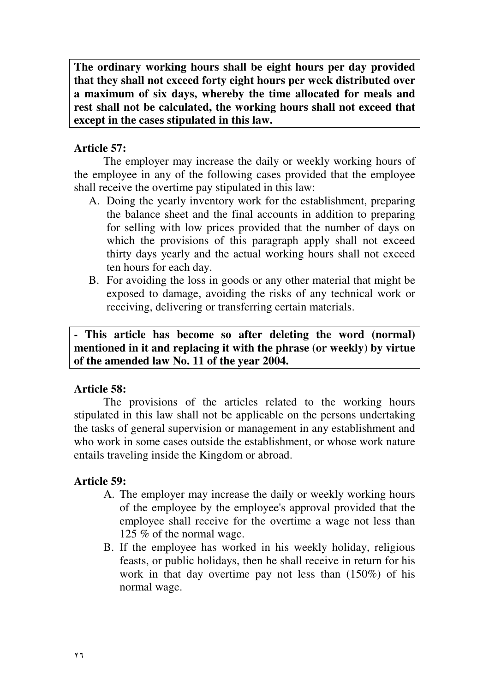**The ordinary working hours shall be eight hours per day provided that they shall not exceed forty eight hours per week distributed over a maximum of six days, whereby the time allocated for meals and rest shall not be calculated, the working hours shall not exceed that except in the cases stipulated in this law.**

### **Article 57:**

I

The employer may increase the daily or weekly working hours of the employee in any of the following cases provided that the employee shall receive the overtime pay stipulated in this law:

- A. Doing the yearly inventory work for the establishment, preparing the balance sheet and the final accounts in addition to preparing for selling with low prices provided that the number of days on which the provisions of this paragraph apply shall not exceed thirty days yearly and the actual working hours shall not exceed ten hours for each day.
- B. For avoiding the loss in goods or any other material that might be exposed to damage, avoiding the risks of any technical work or receiving, delivering or transferring certain materials.

**- This article has become so after deleting the word (normal) mentioned in it and replacing it with the phrase (or weekly) by virtue of the amended law No. 11 of the year 2004.**

### **Article 58:**

The provisions of the articles related to the working hours stipulated in this law shall not be applicable on the persons undertaking the tasks of general supervision or management in any establishment and who work in some cases outside the establishment, or whose work nature entails traveling inside the Kingdom or abroad.

### **Article 59:**

- A. The employer may increase the daily or weekly working hours of the employee by the employee's approval provided that the employee shall receive for the overtime a wage not less than 125 % of the normal wage.
- B. If the employee has worked in his weekly holiday, religious feasts, or public holidays, then he shall receive in return for his work in that day overtime pay not less than (150%) of his normal wage.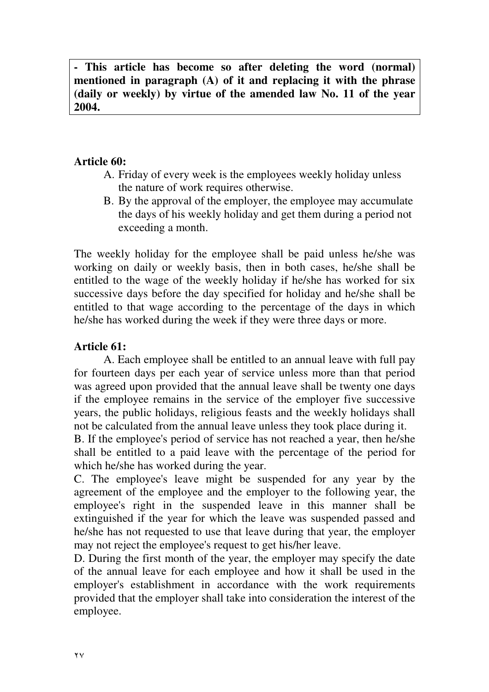**- This article has become so after deleting the word (normal) mentioned in paragraph (A) of it and replacing it with the phrase (daily or weekly) by virtue of the amended law No. 11 of the year 2004.**

### **Article 60:**

- A. Friday of every week is the employees weekly holiday unless the nature of work requires otherwise.
- B. By the approval of the employer, the employee may accumulate the days of his weekly holiday and get them during a period not exceeding a month.

The weekly holiday for the employee shall be paid unless he/she was working on daily or weekly basis, then in both cases, he/she shall be entitled to the wage of the weekly holiday if he/she has worked for six successive days before the day specified for holiday and he/she shall be entitled to that wage according to the percentage of the days in which he/she has worked during the week if they were three days or more.

### **Article 61:**

 A. Each employee shall be entitled to an annual leave with full pay for fourteen days per each year of service unless more than that period was agreed upon provided that the annual leave shall be twenty one days if the employee remains in the service of the employer five successive years, the public holidays, religious feasts and the weekly holidays shall not be calculated from the annual leave unless they took place during it.

B. If the employee's period of service has not reached a year, then he/she shall be entitled to a paid leave with the percentage of the period for which he/she has worked during the year.

C. The employee's leave might be suspended for any year by the agreement of the employee and the employer to the following year, the employee's right in the suspended leave in this manner shall be extinguished if the year for which the leave was suspended passed and he/she has not requested to use that leave during that year, the employer may not reject the employee's request to get his/her leave.

D. During the first month of the year, the employer may specify the date of the annual leave for each employee and how it shall be used in the employer's establishment in accordance with the work requirements provided that the employer shall take into consideration the interest of the employee.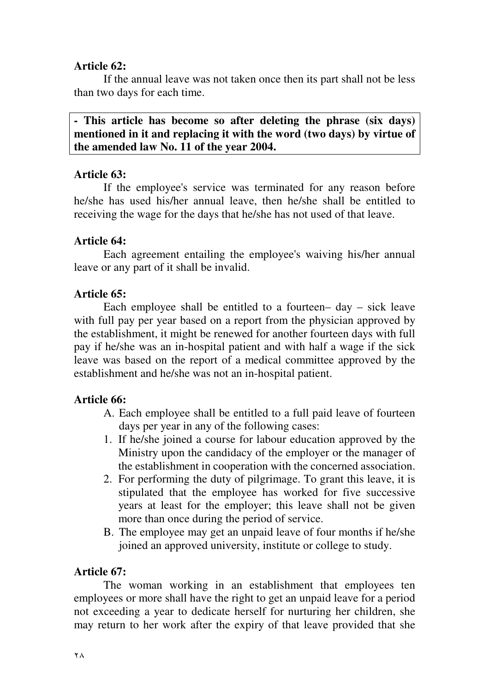### **Article 62:**

 If the annual leave was not taken once then its part shall not be less than two days for each time.

**- This article has become so after deleting the phrase (six days) mentioned in it and replacing it with the word (two days) by virtue of the amended law No. 11 of the year 2004.**

### **Article 63:**

If the employee's service was terminated for any reason before he/she has used his/her annual leave, then he/she shall be entitled to receiving the wage for the days that he/she has not used of that leave.

### **Article 64:**

Each agreement entailing the employee's waiving his/her annual leave or any part of it shall be invalid.

### **Article 65:**

Each employee shall be entitled to a fourteen–  $day - sick$  leave with full pay per year based on a report from the physician approved by the establishment, it might be renewed for another fourteen days with full pay if he/she was an in-hospital patient and with half a wage if the sick leave was based on the report of a medical committee approved by the establishment and he/she was not an in-hospital patient.

# **Article 66:**

- A. Each employee shall be entitled to a full paid leave of fourteen days per year in any of the following cases:
- 1. If he/she joined a course for labour education approved by the Ministry upon the candidacy of the employer or the manager of the establishment in cooperation with the concerned association.
- 2. For performing the duty of pilgrimage. To grant this leave, it is stipulated that the employee has worked for five successive years at least for the employer; this leave shall not be given more than once during the period of service.
- B. The employee may get an unpaid leave of four months if he/she joined an approved university, institute or college to study.

# **Article 67:**

The woman working in an establishment that employees ten employees or more shall have the right to get an unpaid leave for a period not exceeding a year to dedicate herself for nurturing her children, she may return to her work after the expiry of that leave provided that she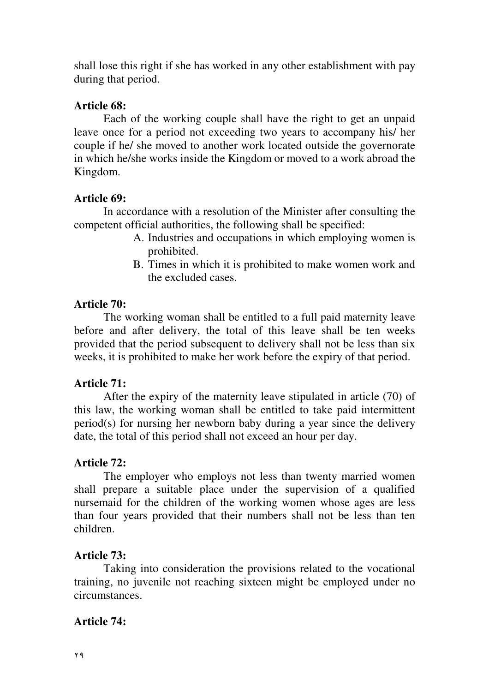shall lose this right if she has worked in any other establishment with pay during that period.

### **Article 68:**

Each of the working couple shall have the right to get an unpaid leave once for a period not exceeding two years to accompany his/ her couple if he/ she moved to another work located outside the governorate in which he/she works inside the Kingdom or moved to a work abroad the Kingdom.

### **Article 69:**

In accordance with a resolution of the Minister after consulting the competent official authorities, the following shall be specified:

- A. Industries and occupations in which employing women is prohibited.
- B. Times in which it is prohibited to make women work and the excluded cases.

### **Article 70:**

The working woman shall be entitled to a full paid maternity leave before and after delivery, the total of this leave shall be ten weeks provided that the period subsequent to delivery shall not be less than six weeks, it is prohibited to make her work before the expiry of that period.

# **Article 71:**

After the expiry of the maternity leave stipulated in article (70) of this law, the working woman shall be entitled to take paid intermittent period(s) for nursing her newborn baby during a year since the delivery date, the total of this period shall not exceed an hour per day.

# **Article 72:**

The employer who employs not less than twenty married women shall prepare a suitable place under the supervision of a qualified nursemaid for the children of the working women whose ages are less than four years provided that their numbers shall not be less than ten children.

### **Article 73:**

Taking into consideration the provisions related to the vocational training, no juvenile not reaching sixteen might be employed under no circumstances.

### **Article 74:**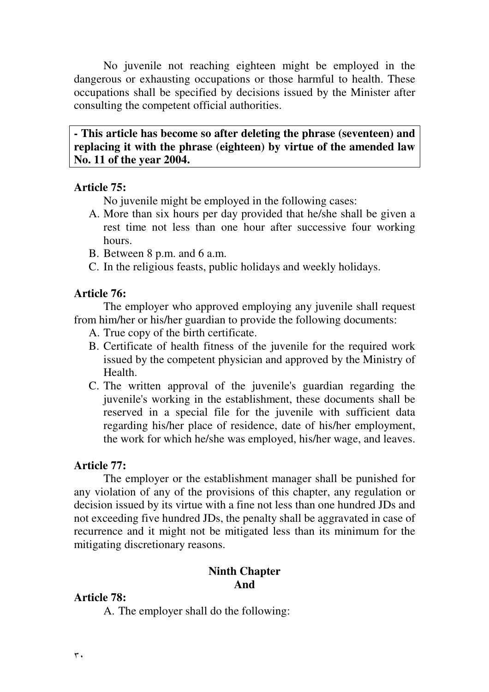No juvenile not reaching eighteen might be employed in the dangerous or exhausting occupations or those harmful to health. These occupations shall be specified by decisions issued by the Minister after consulting the competent official authorities.

**- This article has become so after deleting the phrase (seventeen) and replacing it with the phrase (eighteen) by virtue of the amended law No. 11 of the year 2004.** 

### **Article 75:**

No juvenile might be employed in the following cases:

- A. More than six hours per day provided that he/she shall be given a rest time not less than one hour after successive four working hours.
- B. Between 8 p.m. and 6 a.m.
- C. In the religious feasts, public holidays and weekly holidays.

### **Article 76:**

The employer who approved employing any juvenile shall request from him/her or his/her guardian to provide the following documents:

- A. True copy of the birth certificate.
- B. Certificate of health fitness of the juvenile for the required work issued by the competent physician and approved by the Ministry of Health.
- C. The written approval of the juvenile's guardian regarding the juvenile's working in the establishment, these documents shall be reserved in a special file for the juvenile with sufficient data regarding his/her place of residence, date of his/her employment, the work for which he/she was employed, his/her wage, and leaves.

### **Article 77:**

The employer or the establishment manager shall be punished for any violation of any of the provisions of this chapter, any regulation or decision issued by its virtue with a fine not less than one hundred JDs and not exceeding five hundred JDs, the penalty shall be aggravated in case of recurrence and it might not be mitigated less than its minimum for the mitigating discretionary reasons.

# **Ninth Chapter And**

### **Article 78:**

A. The employer shall do the following: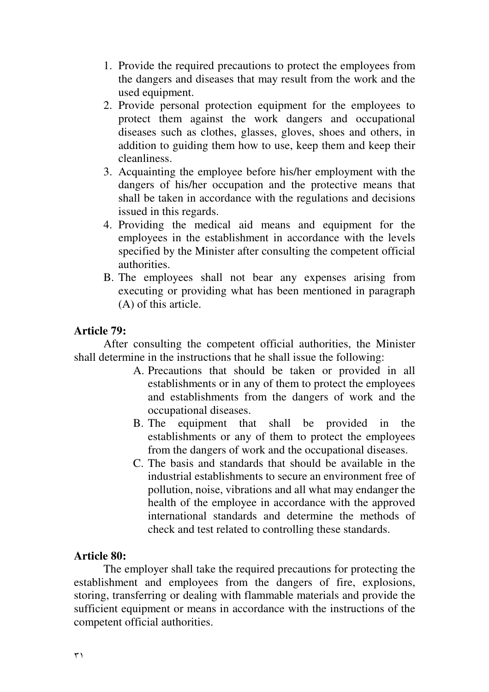- 1. Provide the required precautions to protect the employees from the dangers and diseases that may result from the work and the used equipment.
- 2. Provide personal protection equipment for the employees to protect them against the work dangers and occupational diseases such as clothes, glasses, gloves, shoes and others, in addition to guiding them how to use, keep them and keep their cleanliness.
- 3. Acquainting the employee before his/her employment with the dangers of his/her occupation and the protective means that shall be taken in accordance with the regulations and decisions issued in this regards.
- 4. Providing the medical aid means and equipment for the employees in the establishment in accordance with the levels specified by the Minister after consulting the competent official authorities.
- B. The employees shall not bear any expenses arising from executing or providing what has been mentioned in paragraph (A) of this article.

### **Article 79:**

After consulting the competent official authorities, the Minister shall determine in the instructions that he shall issue the following:

- A. Precautions that should be taken or provided in all establishments or in any of them to protect the employees and establishments from the dangers of work and the occupational diseases.
- B. The equipment that shall be provided in the establishments or any of them to protect the employees from the dangers of work and the occupational diseases.
- C. The basis and standards that should be available in the industrial establishments to secure an environment free of pollution, noise, vibrations and all what may endanger the health of the employee in accordance with the approved international standards and determine the methods of check and test related to controlling these standards.

#### **Article 80:**

The employer shall take the required precautions for protecting the establishment and employees from the dangers of fire, explosions, storing, transferring or dealing with flammable materials and provide the sufficient equipment or means in accordance with the instructions of the competent official authorities.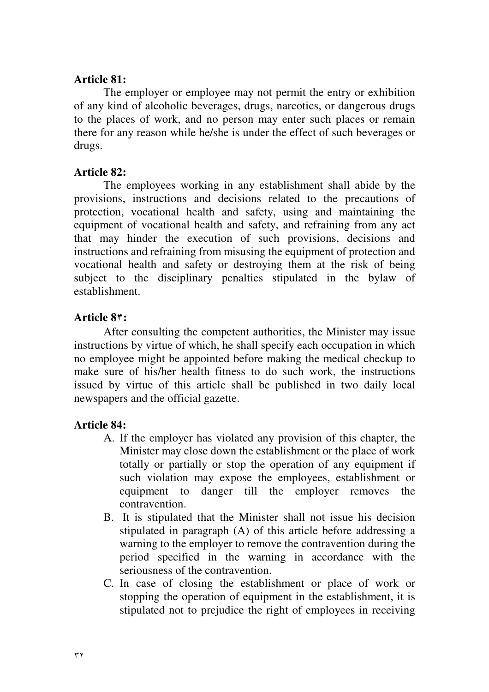### **Article 81:**

 The employer or employee may not permit the entry or exhibition of any kind of alcoholic beverages, drugs, narcotics, or dangerous drugs to the places of work, and no person may enter such places or remain there for any reason while he/she is under the effect of such beverages or drugs.

### **Article 82:**

The employees working in any establishment shall abide by the provisions, instructions and decisions related to the precautions of protection, vocational health and safety, using and maintaining the equipment of vocational health and safety, and refraining from any act that may hinder the execution of such provisions, decisions and instructions and refraining from misusing the equipment of protection and vocational health and safety or destroying them at the risk of being subject to the disciplinary penalties stipulated in the bylaw of establishment.

### **Article 8:**

After consulting the competent authorities, the Minister may issue instructions by virtue of which, he shall specify each occupation in which no employee might be appointed before making the medical checkup to make sure of his/her health fitness to do such work, the instructions issued by virtue of this article shall be published in two daily local newspapers and the official gazette.

# **Article 84:**

- A. If the employer has violated any provision of this chapter, the Minister may close down the establishment or the place of work totally or partially or stop the operation of any equipment if such violation may expose the employees, establishment or equipment to danger till the employer removes the contravention.
- B. It is stipulated that the Minister shall not issue his decision stipulated in paragraph (A) of this article before addressing a warning to the employer to remove the contravention during the period specified in the warning in accordance with the seriousness of the contravention.
- C. In case of closing the establishment or place of work or stopping the operation of equipment in the establishment, it is stipulated not to prejudice the right of employees in receiving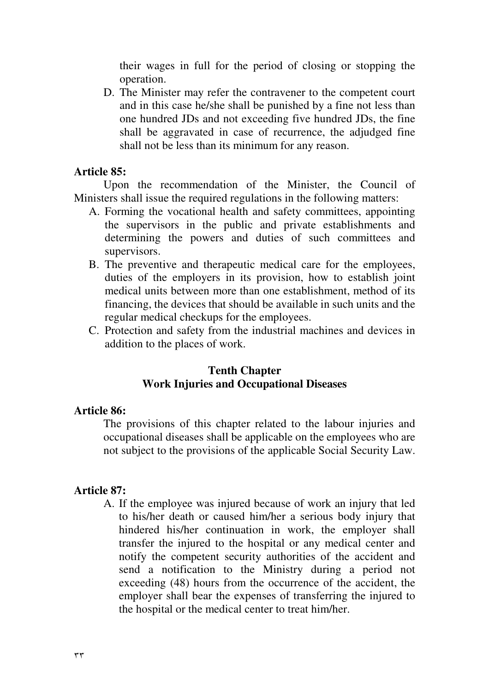their wages in full for the period of closing or stopping the operation.

D. The Minister may refer the contravener to the competent court and in this case he/she shall be punished by a fine not less than one hundred JDs and not exceeding five hundred JDs, the fine shall be aggravated in case of recurrence, the adjudged fine shall not be less than its minimum for any reason.

#### **Article 85:**

Upon the recommendation of the Minister, the Council of Ministers shall issue the required regulations in the following matters:

- A. Forming the vocational health and safety committees, appointing the supervisors in the public and private establishments and determining the powers and duties of such committees and supervisors.
- B. The preventive and therapeutic medical care for the employees, duties of the employers in its provision, how to establish joint medical units between more than one establishment, method of its financing, the devices that should be available in such units and the regular medical checkups for the employees.
- C. Protection and safety from the industrial machines and devices in addition to the places of work.

#### **Tenth Chapter Work Injuries and Occupational Diseases**

#### **Article 86:**

The provisions of this chapter related to the labour injuries and occupational diseases shall be applicable on the employees who are not subject to the provisions of the applicable Social Security Law.

#### **Article 87:**

A. If the employee was injured because of work an injury that led to his/her death or caused him/her a serious body injury that hindered his/her continuation in work, the employer shall transfer the injured to the hospital or any medical center and notify the competent security authorities of the accident and send a notification to the Ministry during a period not exceeding (48) hours from the occurrence of the accident, the employer shall bear the expenses of transferring the injured to the hospital or the medical center to treat him/her.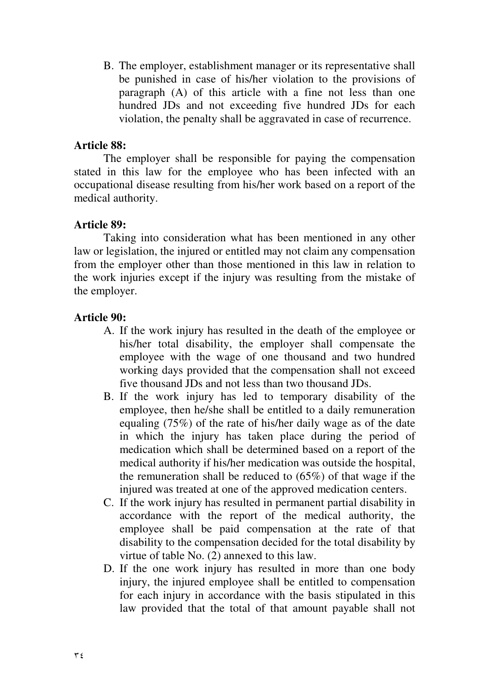B. The employer, establishment manager or its representative shall be punished in case of his/her violation to the provisions of paragraph (A) of this article with a fine not less than one hundred JDs and not exceeding five hundred JDs for each violation, the penalty shall be aggravated in case of recurrence.

### **Article 88:**

The employer shall be responsible for paying the compensation stated in this law for the employee who has been infected with an occupational disease resulting from his/her work based on a report of the medical authority.

### **Article 89:**

Taking into consideration what has been mentioned in any other law or legislation, the injured or entitled may not claim any compensation from the employer other than those mentioned in this law in relation to the work injuries except if the injury was resulting from the mistake of the employer.

### **Article 90:**

- A. If the work injury has resulted in the death of the employee or his/her total disability, the employer shall compensate the employee with the wage of one thousand and two hundred working days provided that the compensation shall not exceed five thousand JDs and not less than two thousand JDs.
- B. If the work injury has led to temporary disability of the employee, then he/she shall be entitled to a daily remuneration equaling (75%) of the rate of his/her daily wage as of the date in which the injury has taken place during the period of medication which shall be determined based on a report of the medical authority if his/her medication was outside the hospital, the remuneration shall be reduced to  $(65\%)$  of that wage if the injured was treated at one of the approved medication centers.
- C. If the work injury has resulted in permanent partial disability in accordance with the report of the medical authority, the employee shall be paid compensation at the rate of that disability to the compensation decided for the total disability by virtue of table No. (2) annexed to this law.
- D. If the one work injury has resulted in more than one body injury, the injured employee shall be entitled to compensation for each injury in accordance with the basis stipulated in this law provided that the total of that amount payable shall not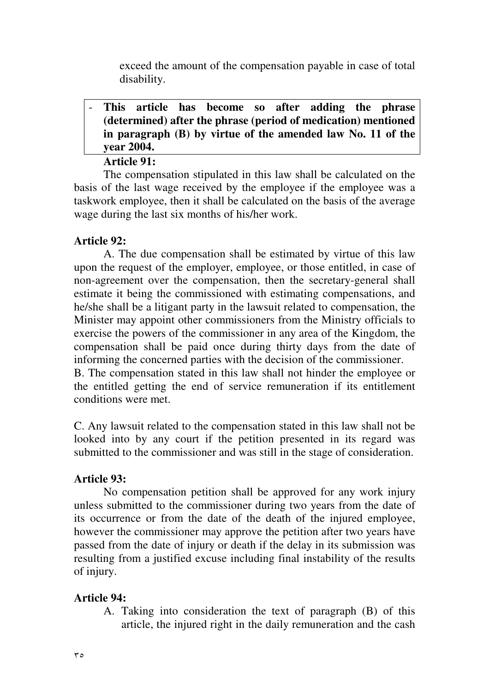exceed the amount of the compensation payable in case of total disability.

# - **This article has become so after adding the phrase (determined) after the phrase (period of medication) mentioned in paragraph (B) by virtue of the amended law No. 11 of the year 2004.**

### **Article 91:**

The compensation stipulated in this law shall be calculated on the basis of the last wage received by the employee if the employee was a taskwork employee, then it shall be calculated on the basis of the average wage during the last six months of his/her work.

### **Article 92:**

A. The due compensation shall be estimated by virtue of this law upon the request of the employer, employee, or those entitled, in case of non-agreement over the compensation, then the secretary-general shall estimate it being the commissioned with estimating compensations, and he/she shall be a litigant party in the lawsuit related to compensation, the Minister may appoint other commissioners from the Ministry officials to exercise the powers of the commissioner in any area of the Kingdom, the compensation shall be paid once during thirty days from the date of informing the concerned parties with the decision of the commissioner. B. The compensation stated in this law shall not hinder the employee or

the entitled getting the end of service remuneration if its entitlement conditions were met.

C. Any lawsuit related to the compensation stated in this law shall not be looked into by any court if the petition presented in its regard was submitted to the commissioner and was still in the stage of consideration.

### **Article 93:**

No compensation petition shall be approved for any work injury unless submitted to the commissioner during two years from the date of its occurrence or from the date of the death of the injured employee, however the commissioner may approve the petition after two years have passed from the date of injury or death if the delay in its submission was resulting from a justified excuse including final instability of the results of injury.

### **Article 94:**

A. Taking into consideration the text of paragraph (B) of this article, the injured right in the daily remuneration and the cash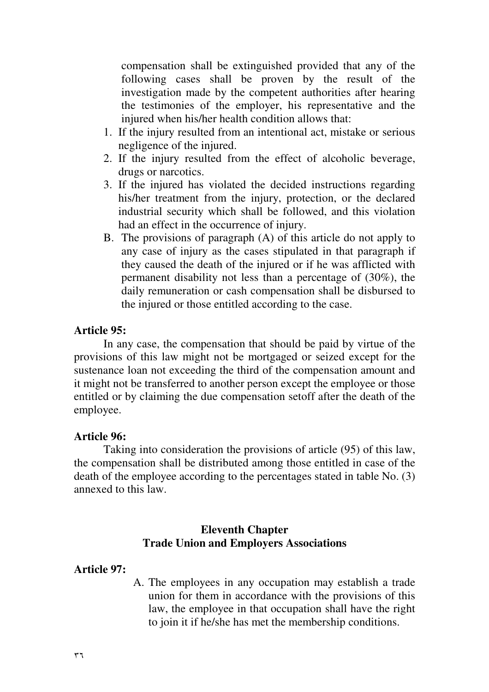compensation shall be extinguished provided that any of the following cases shall be proven by the result of the investigation made by the competent authorities after hearing the testimonies of the employer, his representative and the injured when his/her health condition allows that:

- 1. If the injury resulted from an intentional act, mistake or serious negligence of the injured.
- 2. If the injury resulted from the effect of alcoholic beverage, drugs or narcotics.
- 3. If the injured has violated the decided instructions regarding his/her treatment from the injury, protection, or the declared industrial security which shall be followed, and this violation had an effect in the occurrence of injury.
- B. The provisions of paragraph (A) of this article do not apply to any case of injury as the cases stipulated in that paragraph if they caused the death of the injured or if he was afflicted with permanent disability not less than a percentage of (30%), the daily remuneration or cash compensation shall be disbursed to the injured or those entitled according to the case.

#### **Article 95:**

In any case, the compensation that should be paid by virtue of the provisions of this law might not be mortgaged or seized except for the sustenance loan not exceeding the third of the compensation amount and it might not be transferred to another person except the employee or those entitled or by claiming the due compensation setoff after the death of the employee.

#### **Article 96:**

Taking into consideration the provisions of article (95) of this law, the compensation shall be distributed among those entitled in case of the death of the employee according to the percentages stated in table No. (3) annexed to this law.

#### **Eleventh Chapter Trade Union and Employers Associations**

#### **Article 97:**

A. The employees in any occupation may establish a trade union for them in accordance with the provisions of this law, the employee in that occupation shall have the right to join it if he/she has met the membership conditions.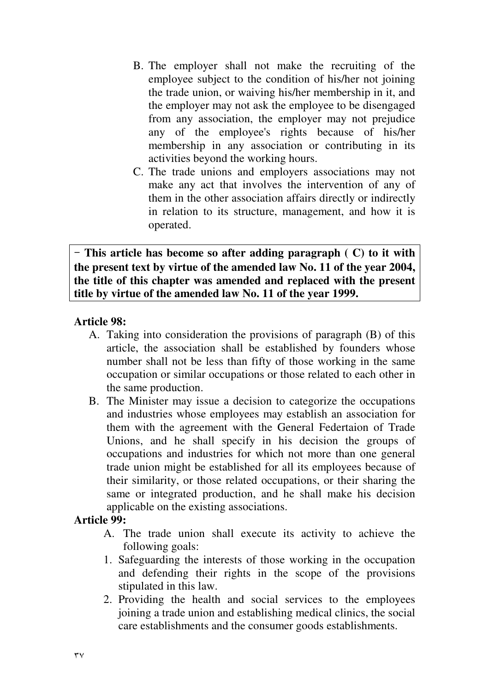- B. The employer shall not make the recruiting of the employee subject to the condition of his/her not joining the trade union, or waiving his/her membership in it, and the employer may not ask the employee to be disengaged from any association, the employer may not prejudice any of the employee's rights because of his/her membership in any association or contributing in its activities beyond the working hours.
- C. The trade unions and employers associations may not make any act that involves the intervention of any of them in the other association affairs directly or indirectly in relation to its structure, management, and how it is operated.

 **This article has become so after adding paragraph ( C) to it with the present text by virtue of the amended law No. 11 of the year 2004, the title of this chapter was amended and replaced with the present title by virtue of the amended law No. 11 of the year 1999.**

### **Article 98:**

- A. Taking into consideration the provisions of paragraph (B) of this article, the association shall be established by founders whose number shall not be less than fifty of those working in the same occupation or similar occupations or those related to each other in the same production.
- B. The Minister may issue a decision to categorize the occupations and industries whose employees may establish an association for them with the agreement with the General Federtaion of Trade Unions, and he shall specify in his decision the groups of occupations and industries for which not more than one general trade union might be established for all its employees because of their similarity, or those related occupations, or their sharing the same or integrated production, and he shall make his decision applicable on the existing associations.

### **Article 99:**

- A. The trade union shall execute its activity to achieve the following goals:
- 1. Safeguarding the interests of those working in the occupation and defending their rights in the scope of the provisions stipulated in this law.
- 2. Providing the health and social services to the employees joining a trade union and establishing medical clinics, the social care establishments and the consumer goods establishments.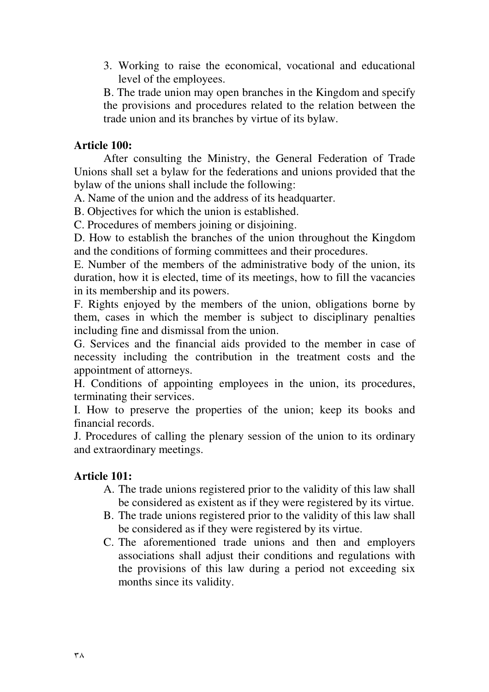3. Working to raise the economical, vocational and educational level of the employees.

B. The trade union may open branches in the Kingdom and specify the provisions and procedures related to the relation between the trade union and its branches by virtue of its bylaw.

#### **Article 100:**

After consulting the Ministry, the General Federation of Trade Unions shall set a bylaw for the federations and unions provided that the bylaw of the unions shall include the following:

A. Name of the union and the address of its headquarter.

B. Objectives for which the union is established.

C. Procedures of members joining or disjoining.

D. How to establish the branches of the union throughout the Kingdom and the conditions of forming committees and their procedures.

E. Number of the members of the administrative body of the union, its duration, how it is elected, time of its meetings, how to fill the vacancies in its membership and its powers.

F. Rights enjoyed by the members of the union, obligations borne by them, cases in which the member is subject to disciplinary penalties including fine and dismissal from the union.

G. Services and the financial aids provided to the member in case of necessity including the contribution in the treatment costs and the appointment of attorneys.

H. Conditions of appointing employees in the union, its procedures, terminating their services.

I. How to preserve the properties of the union; keep its books and financial records.

J. Procedures of calling the plenary session of the union to its ordinary and extraordinary meetings.

### **Article 101:**

- A. The trade unions registered prior to the validity of this law shall be considered as existent as if they were registered by its virtue.
- B. The trade unions registered prior to the validity of this law shall be considered as if they were registered by its virtue.
- C. The aforementioned trade unions and then and employers associations shall adjust their conditions and regulations with the provisions of this law during a period not exceeding six months since its validity.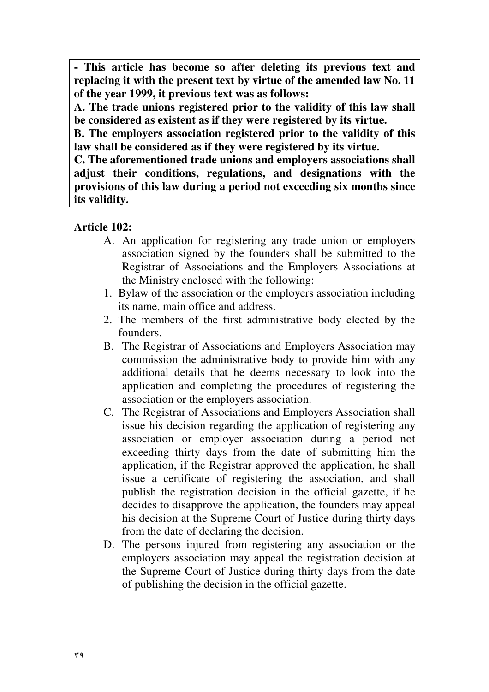**- This article has become so after deleting its previous text and replacing it with the present text by virtue of the amended law No. 11 of the year 1999, it previous text was as follows:** 

**A. The trade unions registered prior to the validity of this law shall be considered as existent as if they were registered by its virtue.** 

**B. The employers association registered prior to the validity of this law shall be considered as if they were registered by its virtue.** 

**C. The aforementioned trade unions and employers associations shall adjust their conditions, regulations, and designations with the provisions of this law during a period not exceeding six months since its validity.**

### **Article 102:**

- A. An application for registering any trade union or employers association signed by the founders shall be submitted to the Registrar of Associations and the Employers Associations at the Ministry enclosed with the following:
- 1. Bylaw of the association or the employers association including its name, main office and address.
- 2. The members of the first administrative body elected by the founders.
- B. The Registrar of Associations and Employers Association may commission the administrative body to provide him with any additional details that he deems necessary to look into the application and completing the procedures of registering the association or the employers association.
- C. The Registrar of Associations and Employers Association shall issue his decision regarding the application of registering any association or employer association during a period not exceeding thirty days from the date of submitting him the application, if the Registrar approved the application, he shall issue a certificate of registering the association, and shall publish the registration decision in the official gazette, if he decides to disapprove the application, the founders may appeal his decision at the Supreme Court of Justice during thirty days from the date of declaring the decision.
- D. The persons injured from registering any association or the employers association may appeal the registration decision at the Supreme Court of Justice during thirty days from the date of publishing the decision in the official gazette.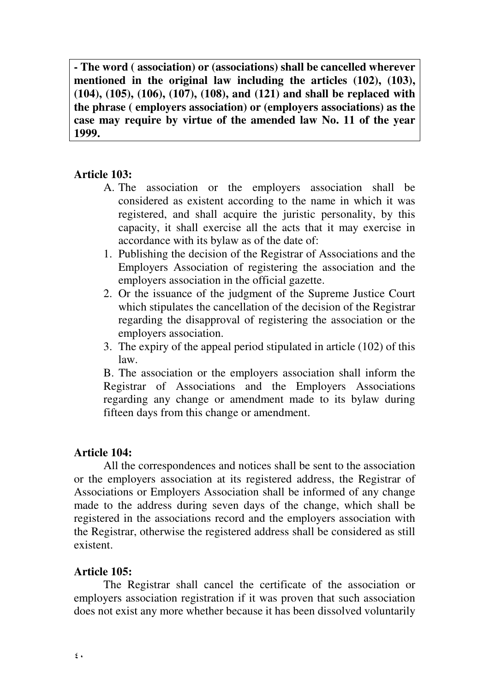**- The word ( association) or (associations) shall be cancelled wherever mentioned in the original law including the articles (102), (103), (104), (105), (106), (107), (108), and (121) and shall be replaced with the phrase ( employers association) or (employers associations) as the case may require by virtue of the amended law No. 11 of the year 1999.** 

### **Article 103:**

Ϊ

- A. The association or the employers association shall be considered as existent according to the name in which it was registered, and shall acquire the juristic personality, by this capacity, it shall exercise all the acts that it may exercise in accordance with its bylaw as of the date of:
- 1. Publishing the decision of the Registrar of Associations and the Employers Association of registering the association and the employers association in the official gazette.
- 2. Or the issuance of the judgment of the Supreme Justice Court which stipulates the cancellation of the decision of the Registrar regarding the disapproval of registering the association or the employers association.
- 3. The expiry of the appeal period stipulated in article (102) of this law.

B. The association or the employers association shall inform the Registrar of Associations and the Employers Associations regarding any change or amendment made to its bylaw during fifteen days from this change or amendment.

### **Article 104:**

All the correspondences and notices shall be sent to the association or the employers association at its registered address, the Registrar of Associations or Employers Association shall be informed of any change made to the address during seven days of the change, which shall be registered in the associations record and the employers association with the Registrar, otherwise the registered address shall be considered as still existent.

### **Article 105:**

The Registrar shall cancel the certificate of the association or employers association registration if it was proven that such association does not exist any more whether because it has been dissolved voluntarily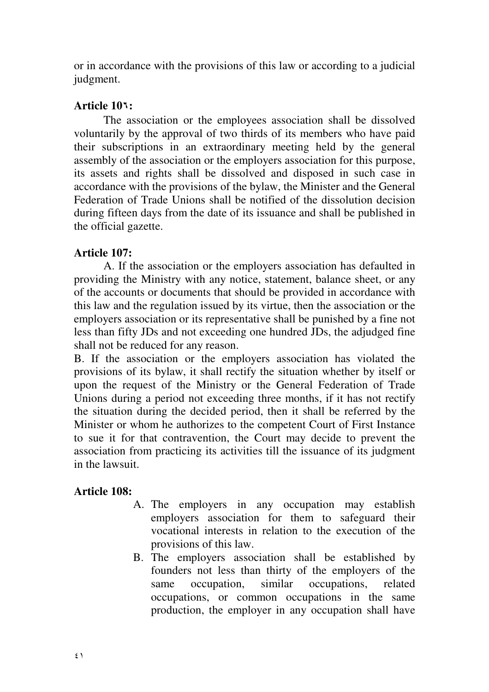or in accordance with the provisions of this law or according to a judicial judgment.

### **Article 10:**

The association or the employees association shall be dissolved voluntarily by the approval of two thirds of its members who have paid their subscriptions in an extraordinary meeting held by the general assembly of the association or the employers association for this purpose, its assets and rights shall be dissolved and disposed in such case in accordance with the provisions of the bylaw, the Minister and the General Federation of Trade Unions shall be notified of the dissolution decision during fifteen days from the date of its issuance and shall be published in the official gazette.

### **Article 107:**

A. If the association or the employers association has defaulted in providing the Ministry with any notice, statement, balance sheet, or any of the accounts or documents that should be provided in accordance with this law and the regulation issued by its virtue, then the association or the employers association or its representative shall be punished by a fine not less than fifty JDs and not exceeding one hundred JDs, the adjudged fine shall not be reduced for any reason.

B. If the association or the employers association has violated the provisions of its bylaw, it shall rectify the situation whether by itself or upon the request of the Ministry or the General Federation of Trade Unions during a period not exceeding three months, if it has not rectify the situation during the decided period, then it shall be referred by the Minister or whom he authorizes to the competent Court of First Instance to sue it for that contravention, the Court may decide to prevent the association from practicing its activities till the issuance of its judgment in the lawsuit.

### **Article 108:**

- A. The employers in any occupation may establish employers association for them to safeguard their vocational interests in relation to the execution of the provisions of this law.
- B. The employers association shall be established by founders not less than thirty of the employers of the same occupation, similar occupations, related occupations, or common occupations in the same production, the employer in any occupation shall have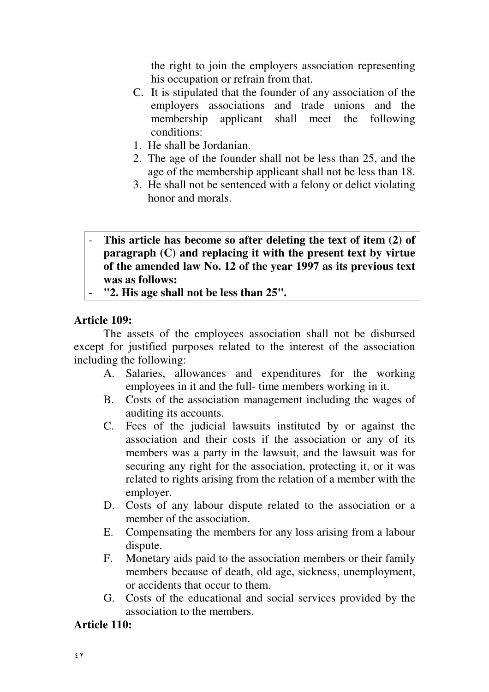the right to join the employers association representing his occupation or refrain from that.

- C. It is stipulated that the founder of any association of the employers associations and trade unions and the membership applicant shall meet the following conditions:
- 1. He shall be Jordanian.
- 2. The age of the founder shall not be less than 25, and the age of the membership applicant shall not be less than 18.
- 3. He shall not be sentenced with a felony or delict violating honor and morals.

# - **This article has become so after deleting the text of item (2) of paragraph (C) and replacing it with the present text by virtue of the amended law No. 12 of the year 1997 as its previous text was as follows:**

- **"2. His age shall not be less than 25".** 

# **Article 109:**

The assets of the employees association shall not be disbursed except for justified purposes related to the interest of the association including the following:

- A. Salaries, allowances and expenditures for the working employees in it and the full- time members working in it.
- B. Costs of the association management including the wages of auditing its accounts.
- C. Fees of the judicial lawsuits instituted by or against the association and their costs if the association or any of its members was a party in the lawsuit, and the lawsuit was for securing any right for the association, protecting it, or it was related to rights arising from the relation of a member with the employer.
- D. Costs of any labour dispute related to the association or a member of the association.
- E. Compensating the members for any loss arising from a labour dispute.
- F. Monetary aids paid to the association members or their family members because of death, old age, sickness, unemployment, or accidents that occur to them.
- G. Costs of the educational and social services provided by the association to the members.

# **Article 110:**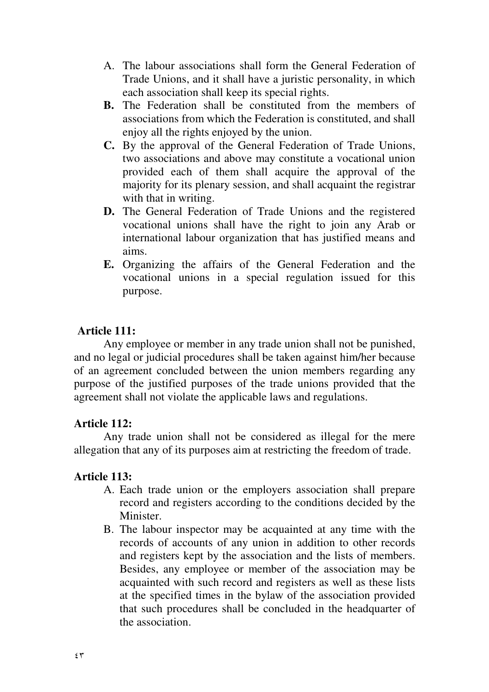- A. The labour associations shall form the General Federation of Trade Unions, and it shall have a juristic personality, in which each association shall keep its special rights.
- **B.** The Federation shall be constituted from the members of associations from which the Federation is constituted, and shall enjoy all the rights enjoyed by the union.
- **C.** By the approval of the General Federation of Trade Unions, two associations and above may constitute a vocational union provided each of them shall acquire the approval of the majority for its plenary session, and shall acquaint the registrar with that in writing.
- **D.** The General Federation of Trade Unions and the registered vocational unions shall have the right to join any Arab or international labour organization that has justified means and aims.
- **E.** Organizing the affairs of the General Federation and the vocational unions in a special regulation issued for this purpose.

### **Article 111:**

 Any employee or member in any trade union shall not be punished, and no legal or judicial procedures shall be taken against him/her because of an agreement concluded between the union members regarding any purpose of the justified purposes of the trade unions provided that the agreement shall not violate the applicable laws and regulations.

### **Article 112:**

Any trade union shall not be considered as illegal for the mere allegation that any of its purposes aim at restricting the freedom of trade.

### **Article 113:**

- A. Each trade union or the employers association shall prepare record and registers according to the conditions decided by the Minister.
- B. The labour inspector may be acquainted at any time with the records of accounts of any union in addition to other records and registers kept by the association and the lists of members. Besides, any employee or member of the association may be acquainted with such record and registers as well as these lists at the specified times in the bylaw of the association provided that such procedures shall be concluded in the headquarter of the association.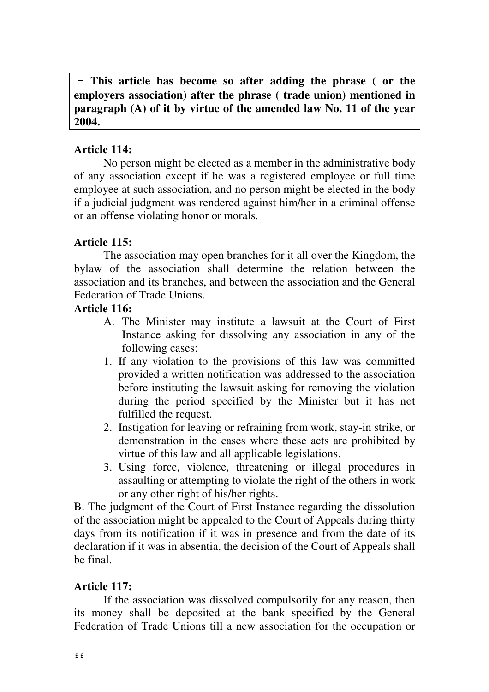**This article has become so after adding the phrase ( or the employers association) after the phrase ( trade union) mentioned in paragraph (A) of it by virtue of the amended law No. 11 of the year 2004.** 

### **Article 114:**

No person might be elected as a member in the administrative body of any association except if he was a registered employee or full time employee at such association, and no person might be elected in the body if a judicial judgment was rendered against him/her in a criminal offense or an offense violating honor or morals.

# **Article 115:**

The association may open branches for it all over the Kingdom, the bylaw of the association shall determine the relation between the association and its branches, and between the association and the General Federation of Trade Unions.

# **Article 116:**

- A. The Minister may institute a lawsuit at the Court of First Instance asking for dissolving any association in any of the following cases:
- 1. If any violation to the provisions of this law was committed provided a written notification was addressed to the association before instituting the lawsuit asking for removing the violation during the period specified by the Minister but it has not fulfilled the request.
- 2. Instigation for leaving or refraining from work, stay-in strike, or demonstration in the cases where these acts are prohibited by virtue of this law and all applicable legislations.
- 3. Using force, violence, threatening or illegal procedures in assaulting or attempting to violate the right of the others in work or any other right of his/her rights.

B. The judgment of the Court of First Instance regarding the dissolution of the association might be appealed to the Court of Appeals during thirty days from its notification if it was in presence and from the date of its declaration if it was in absentia, the decision of the Court of Appeals shall be final.

# **Article 117:**

If the association was dissolved compulsorily for any reason, then its money shall be deposited at the bank specified by the General Federation of Trade Unions till a new association for the occupation or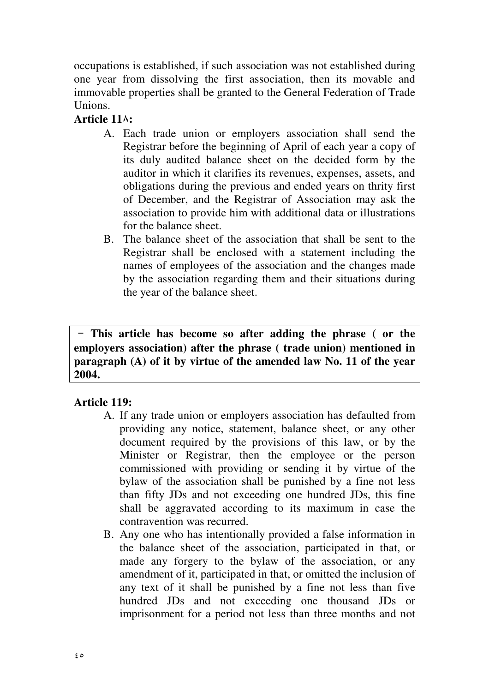occupations is established, if such association was not established during one year from dissolving the first association, then its movable and immovable properties shall be granted to the General Federation of Trade **Unions** 

# **Article 11:**

- A. Each trade union or employers association shall send the Registrar before the beginning of April of each year a copy of its duly audited balance sheet on the decided form by the auditor in which it clarifies its revenues, expenses, assets, and obligations during the previous and ended years on thrity first of December, and the Registrar of Association may ask the association to provide him with additional data or illustrations for the balance sheet.
- B. The balance sheet of the association that shall be sent to the Registrar shall be enclosed with a statement including the names of employees of the association and the changes made by the association regarding them and their situations during the year of the balance sheet.

 **This article has become so after adding the phrase ( or the employers association) after the phrase ( trade union) mentioned in paragraph (A) of it by virtue of the amended law No. 11 of the year 2004.** 

# **Article 119:**

- A. If any trade union or employers association has defaulted from providing any notice, statement, balance sheet, or any other document required by the provisions of this law, or by the Minister or Registrar, then the employee or the person commissioned with providing or sending it by virtue of the bylaw of the association shall be punished by a fine not less than fifty JDs and not exceeding one hundred JDs, this fine shall be aggravated according to its maximum in case the contravention was recurred.
- B. Any one who has intentionally provided a false information in the balance sheet of the association, participated in that, or made any forgery to the bylaw of the association, or any amendment of it, participated in that, or omitted the inclusion of any text of it shall be punished by a fine not less than five hundred JDs and not exceeding one thousand JDs or imprisonment for a period not less than three months and not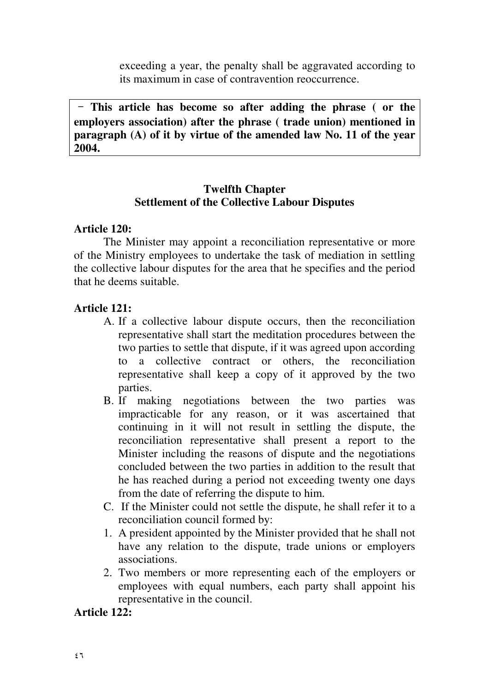exceeding a year, the penalty shall be aggravated according to its maximum in case of contravention reoccurrence.

 **This article has become so after adding the phrase ( or the employers association) after the phrase ( trade union) mentioned in paragraph (A) of it by virtue of the amended law No. 11 of the year 2004.**

### **Twelfth Chapter Settlement of the Collective Labour Disputes**

### **Article 120:**

 The Minister may appoint a reconciliation representative or more of the Ministry employees to undertake the task of mediation in settling the collective labour disputes for the area that he specifies and the period that he deems suitable.

### **Article 121:**

- A. If a collective labour dispute occurs, then the reconciliation representative shall start the meditation procedures between the two parties to settle that dispute, if it was agreed upon according to a collective contract or others, the reconciliation representative shall keep a copy of it approved by the two parties.
- B. If making negotiations between the two parties was impracticable for any reason, or it was ascertained that continuing in it will not result in settling the dispute, the reconciliation representative shall present a report to the Minister including the reasons of dispute and the negotiations concluded between the two parties in addition to the result that he has reached during a period not exceeding twenty one days from the date of referring the dispute to him.
- C. If the Minister could not settle the dispute, he shall refer it to a reconciliation council formed by:
- 1. A president appointed by the Minister provided that he shall not have any relation to the dispute, trade unions or employers associations.
- 2. Two members or more representing each of the employers or employees with equal numbers, each party shall appoint his representative in the council.

### **Article 122:**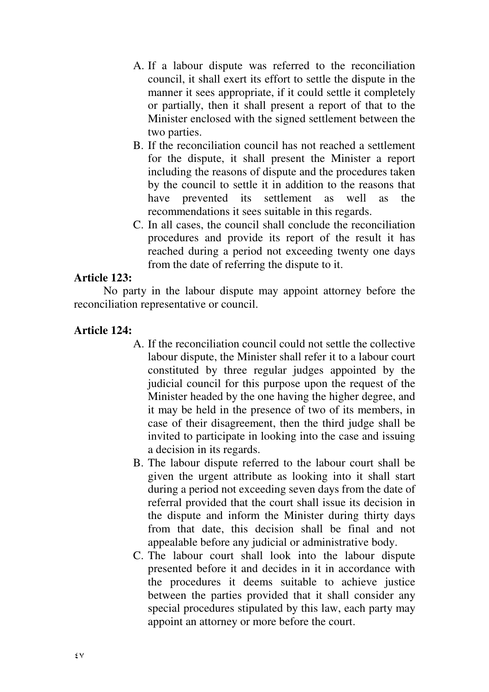- A. If a labour dispute was referred to the reconciliation council, it shall exert its effort to settle the dispute in the manner it sees appropriate, if it could settle it completely or partially, then it shall present a report of that to the Minister enclosed with the signed settlement between the two parties.
- B. If the reconciliation council has not reached a settlement for the dispute, it shall present the Minister a report including the reasons of dispute and the procedures taken by the council to settle it in addition to the reasons that have prevented its settlement as well as the recommendations it sees suitable in this regards.
- C. In all cases, the council shall conclude the reconciliation procedures and provide its report of the result it has reached during a period not exceeding twenty one days from the date of referring the dispute to it.

### **Article 123:**

No party in the labour dispute may appoint attorney before the reconciliation representative or council.

### **Article 124:**

- A. If the reconciliation council could not settle the collective labour dispute, the Minister shall refer it to a labour court constituted by three regular judges appointed by the judicial council for this purpose upon the request of the Minister headed by the one having the higher degree, and it may be held in the presence of two of its members, in case of their disagreement, then the third judge shall be invited to participate in looking into the case and issuing a decision in its regards.
- B. The labour dispute referred to the labour court shall be given the urgent attribute as looking into it shall start during a period not exceeding seven days from the date of referral provided that the court shall issue its decision in the dispute and inform the Minister during thirty days from that date, this decision shall be final and not appealable before any judicial or administrative body.
- C. The labour court shall look into the labour dispute presented before it and decides in it in accordance with the procedures it deems suitable to achieve justice between the parties provided that it shall consider any special procedures stipulated by this law, each party may appoint an attorney or more before the court.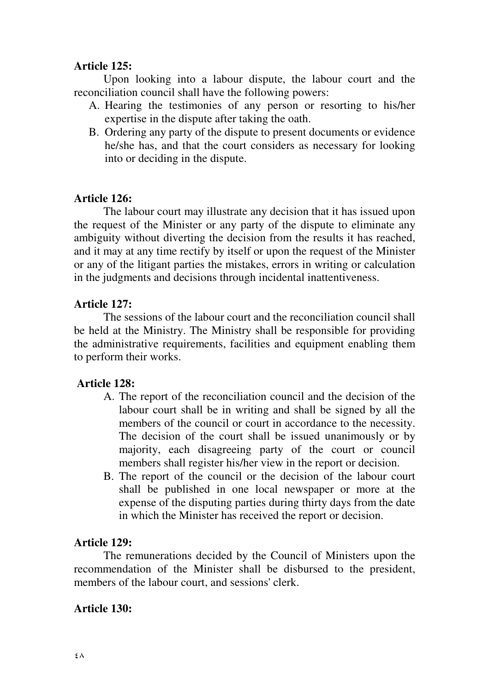#### **Article 125:**

 Upon looking into a labour dispute, the labour court and the reconciliation council shall have the following powers:

- A. Hearing the testimonies of any person or resorting to his/her expertise in the dispute after taking the oath.
- B. Ordering any party of the dispute to present documents or evidence he/she has, and that the court considers as necessary for looking into or deciding in the dispute.

### **Article 126:**

The labour court may illustrate any decision that it has issued upon the request of the Minister or any party of the dispute to eliminate any ambiguity without diverting the decision from the results it has reached, and it may at any time rectify by itself or upon the request of the Minister or any of the litigant parties the mistakes, errors in writing or calculation in the judgments and decisions through incidental inattentiveness.

### **Article 127:**

The sessions of the labour court and the reconciliation council shall be held at the Ministry. The Ministry shall be responsible for providing the administrative requirements, facilities and equipment enabling them to perform their works.

### **Article 128:**

- A. The report of the reconciliation council and the decision of the labour court shall be in writing and shall be signed by all the members of the council or court in accordance to the necessity. The decision of the court shall be issued unanimously or by majority, each disagreeing party of the court or council members shall register his/her view in the report or decision.
- B. The report of the council or the decision of the labour court shall be published in one local newspaper or more at the expense of the disputing parties during thirty days from the date in which the Minister has received the report or decision.

#### **Article 129:**

The remunerations decided by the Council of Ministers upon the recommendation of the Minister shall be disbursed to the president, members of the labour court, and sessions' clerk.

#### **Article 130:**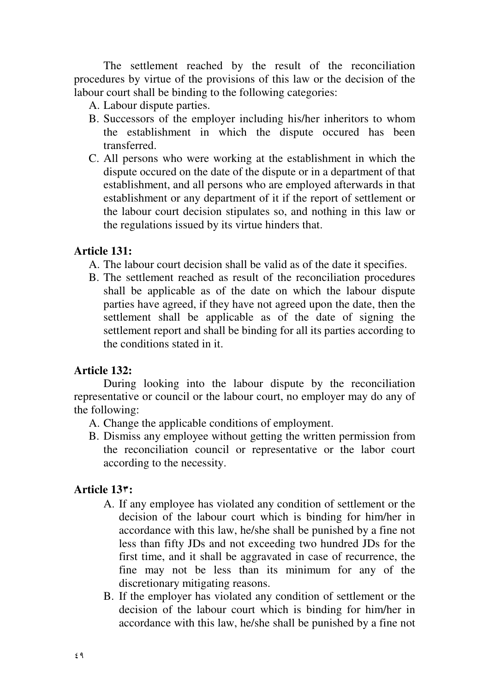The settlement reached by the result of the reconciliation procedures by virtue of the provisions of this law or the decision of the labour court shall be binding to the following categories:

A. Labour dispute parties.

- B. Successors of the employer including his/her inheritors to whom the establishment in which the dispute occured has been transferred.
- C. All persons who were working at the establishment in which the dispute occured on the date of the dispute or in a department of that establishment, and all persons who are employed afterwards in that establishment or any department of it if the report of settlement or the labour court decision stipulates so, and nothing in this law or the regulations issued by its virtue hinders that.

### **Article 131:**

- A. The labour court decision shall be valid as of the date it specifies.
- B. The settlement reached as result of the reconciliation procedures shall be applicable as of the date on which the labour dispute parties have agreed, if they have not agreed upon the date, then the settlement shall be applicable as of the date of signing the settlement report and shall be binding for all its parties according to the conditions stated in it.

# **Article 132:**

During looking into the labour dispute by the reconciliation representative or council or the labour court, no employer may do any of the following:

- A. Change the applicable conditions of employment.
- B. Dismiss any employee without getting the written permission from the reconciliation council or representative or the labor court according to the necessity.

# **Article 13:**

- A. If any employee has violated any condition of settlement or the decision of the labour court which is binding for him/her in accordance with this law, he/she shall be punished by a fine not less than fifty JDs and not exceeding two hundred JDs for the first time, and it shall be aggravated in case of recurrence, the fine may not be less than its minimum for any of the discretionary mitigating reasons.
- B. If the employer has violated any condition of settlement or the decision of the labour court which is binding for him/her in accordance with this law, he/she shall be punished by a fine not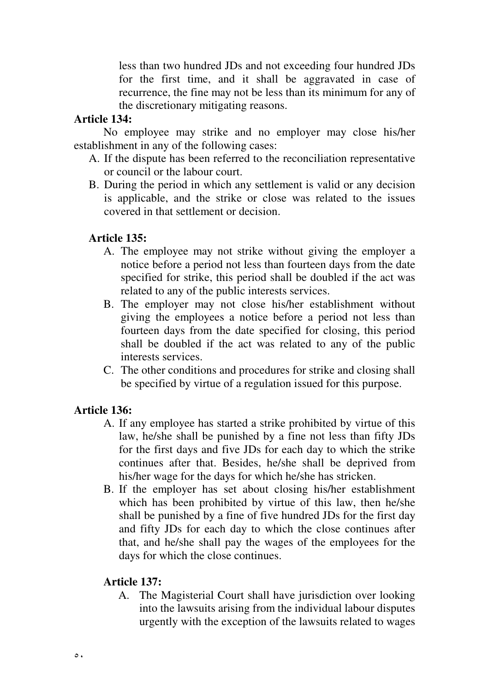less than two hundred JDs and not exceeding four hundred JDs for the first time, and it shall be aggravated in case of recurrence, the fine may not be less than its minimum for any of the discretionary mitigating reasons.

### **Article 134:**

No employee may strike and no employer may close his/her establishment in any of the following cases:

- A. If the dispute has been referred to the reconciliation representative or council or the labour court.
- B. During the period in which any settlement is valid or any decision is applicable, and the strike or close was related to the issues covered in that settlement or decision.

### **Article 135:**

- A. The employee may not strike without giving the employer a notice before a period not less than fourteen days from the date specified for strike, this period shall be doubled if the act was related to any of the public interests services.
- B. The employer may not close his/her establishment without giving the employees a notice before a period not less than fourteen days from the date specified for closing, this period shall be doubled if the act was related to any of the public interests services.
- C. The other conditions and procedures for strike and closing shall be specified by virtue of a regulation issued for this purpose.

# **Article 136:**

- A. If any employee has started a strike prohibited by virtue of this law, he/she shall be punished by a fine not less than fifty JDs for the first days and five JDs for each day to which the strike continues after that. Besides, he/she shall be deprived from his/her wage for the days for which he/she has stricken.
- B. If the employer has set about closing his/her establishment which has been prohibited by virtue of this law, then he/she shall be punished by a fine of five hundred JDs for the first day and fifty JDs for each day to which the close continues after that, and he/she shall pay the wages of the employees for the days for which the close continues.

### **Article 137:**

A. The Magisterial Court shall have jurisdiction over looking into the lawsuits arising from the individual labour disputes urgently with the exception of the lawsuits related to wages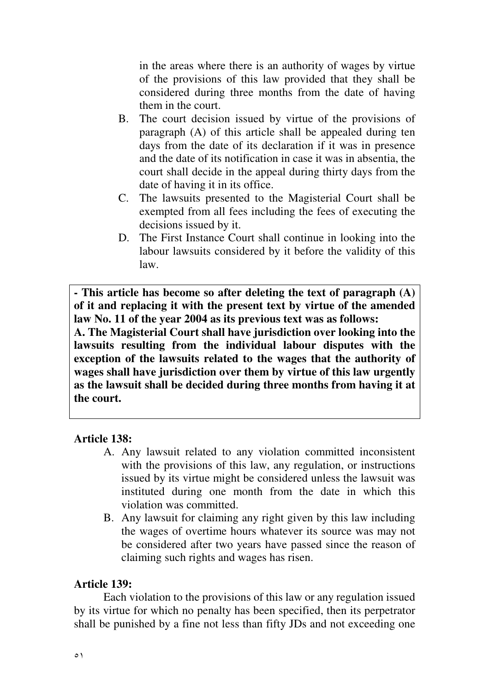in the areas where there is an authority of wages by virtue of the provisions of this law provided that they shall be considered during three months from the date of having them in the court.

- B. The court decision issued by virtue of the provisions of paragraph (A) of this article shall be appealed during ten days from the date of its declaration if it was in presence and the date of its notification in case it was in absentia, the court shall decide in the appeal during thirty days from the date of having it in its office.
- C. The lawsuits presented to the Magisterial Court shall be exempted from all fees including the fees of executing the decisions issued by it.
- D. The First Instance Court shall continue in looking into the labour lawsuits considered by it before the validity of this law.

**- This article has become so after deleting the text of paragraph (A) of it and replacing it with the present text by virtue of the amended law No. 11 of the year 2004 as its previous text was as follows:** 

**A. The Magisterial Court shall have jurisdiction over looking into the lawsuits resulting from the individual labour disputes with the exception of the lawsuits related to the wages that the authority of wages shall have jurisdiction over them by virtue of this law urgently as the lawsuit shall be decided during three months from having it at the court.**

### **Article 138:**

- A. Any lawsuit related to any violation committed inconsistent with the provisions of this law, any regulation, or instructions issued by its virtue might be considered unless the lawsuit was instituted during one month from the date in which this violation was committed.
- B. Any lawsuit for claiming any right given by this law including the wages of overtime hours whatever its source was may not be considered after two years have passed since the reason of claiming such rights and wages has risen.

#### **Article 139:**

Each violation to the provisions of this law or any regulation issued by its virtue for which no penalty has been specified, then its perpetrator shall be punished by a fine not less than fifty JDs and not exceeding one